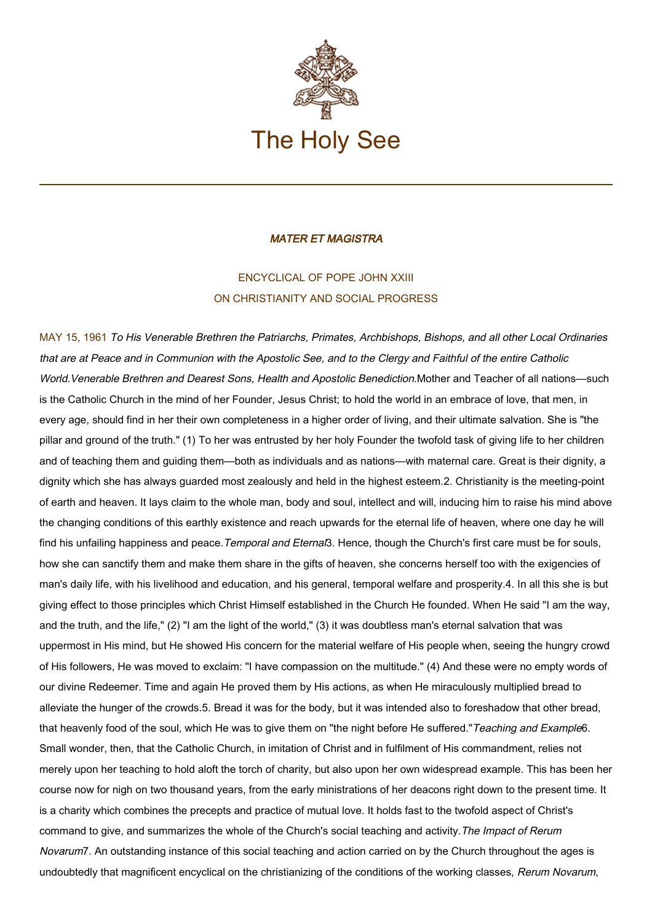

## MATER ET MAGISTRA

## ENCYCLICAL OF POPE JOHN XXIII ON CHRISTIANITY AND SOCIAL PROGRESS

MAY 15, 1961 To His Venerable Brethren the Patriarchs, Primates, Archbishops, Bishops, and all other Local Ordinaries that are at Peace and in Communion with the Apostolic See, and to the Clergy and Faithful of the entire Catholic World.Venerable Brethren and Dearest Sons, Health and Apostolic Benediction.Mother and Teacher of all nations—such is the Catholic Church in the mind of her Founder, Jesus Christ; to hold the world in an embrace of love, that men, in every age, should find in her their own completeness in a higher order of living, and their ultimate salvation. She is "the pillar and ground of the truth." (1) To her was entrusted by her holy Founder the twofold task of giving life to her children and of teaching them and guiding them—both as individuals and as nations—with maternal care. Great is their dignity, a dignity which she has always guarded most zealously and held in the highest esteem.2. Christianity is the meeting-point of earth and heaven. It lays claim to the whole man, body and soul, intellect and will, inducing him to raise his mind above the changing conditions of this earthly existence and reach upwards for the eternal life of heaven, where one day he will find his unfailing happiness and peace. Temporal and Eternal3. Hence, though the Church's first care must be for souls, how she can sanctify them and make them share in the gifts of heaven, she concerns herself too with the exigencies of man's daily life, with his livelihood and education, and his general, temporal welfare and prosperity.4. In all this she is but giving effect to those principles which Christ Himself established in the Church He founded. When He said "I am the way, and the truth, and the life," (2) "I am the light of the world," (3) it was doubtless man's eternal salvation that was uppermost in His mind, but He showed His concern for the material welfare of His people when, seeing the hungry crowd of His followers, He was moved to exclaim: "I have compassion on the multitude." (4) And these were no empty words of our divine Redeemer. Time and again He proved them by His actions, as when He miraculously multiplied bread to alleviate the hunger of the crowds.5. Bread it was for the body, but it was intended also to foreshadow that other bread, that heavenly food of the soul, which He was to give them on "the night before He suffered."Teaching and Example6. Small wonder, then, that the Catholic Church, in imitation of Christ and in fulfilment of His commandment, relies not merely upon her teaching to hold aloft the torch of charity, but also upon her own widespread example. This has been her course now for nigh on two thousand years, from the early ministrations of her deacons right down to the present time. It is a charity which combines the precepts and practice of mutual love. It holds fast to the twofold aspect of Christ's command to give, and summarizes the whole of the Church's social teaching and activity. The Impact of Rerum Novarum7. An outstanding instance of this social teaching and action carried on by the Church throughout the ages is undoubtedly that magnificent encyclical on the christianizing of the conditions of the working classes, Rerum Novarum,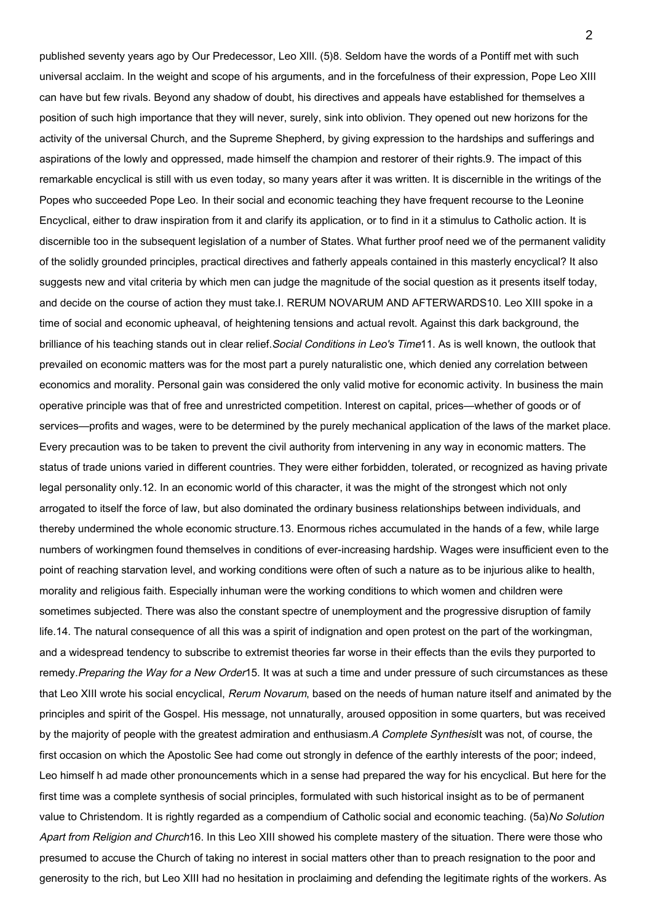published seventy years ago by Our Predecessor, Leo XlIl. (5)8. Seldom have the words of a Pontiff met with such universal acclaim. In the weight and scope of his arguments, and in the forcefulness of their expression, Pope Leo XIII can have but few rivals. Beyond any shadow of doubt, his directives and appeals have established for themselves a position of such high importance that they will never, surely, sink into oblivion. They opened out new horizons for the activity of the universal Church, and the Supreme Shepherd, by giving expression to the hardships and sufferings and aspirations of the lowly and oppressed, made himself the champion and restorer of their rights.9. The impact of this remarkable encyclical is still with us even today, so many years after it was written. It is discernible in the writings of the Popes who succeeded Pope Leo. In their social and economic teaching they have frequent recourse to the Leonine Encyclical, either to draw inspiration from it and clarify its application, or to find in it a stimulus to Catholic action. It is discernible too in the subsequent legislation of a number of States. What further proof need we of the permanent validity of the solidly grounded principles, practical directives and fatherly appeals contained in this masterly encyclical? It also suggests new and vital criteria by which men can judge the magnitude of the social question as it presents itself today, and decide on the course of action they must take.I. RERUM NOVARUM AND AFTERWARDS10. Leo XIII spoke in a time of social and economic upheaval, of heightening tensions and actual revolt. Against this dark background, the brilliance of his teaching stands out in clear relief. Social Conditions in Leo's Time11. As is well known, the outlook that prevailed on economic matters was for the most part a purely naturalistic one, which denied any correlation between economics and morality. Personal gain was considered the only valid motive for economic activity. In business the main operative principle was that of free and unrestricted competition. Interest on capital, prices—whether of goods or of services—profits and wages, were to be determined by the purely mechanical application of the laws of the market place. Every precaution was to be taken to prevent the civil authority from intervening in any way in economic matters. The status of trade unions varied in different countries. They were either forbidden, tolerated, or recognized as having private legal personality only.12. In an economic world of this character, it was the might of the strongest which not only arrogated to itself the force of law, but also dominated the ordinary business relationships between individuals, and thereby undermined the whole economic structure.13. Enormous riches accumulated in the hands of a few, while large numbers of workingmen found themselves in conditions of ever-increasing hardship. Wages were insufficient even to the point of reaching starvation level, and working conditions were often of such a nature as to be injurious alike to health, morality and religious faith. Especially inhuman were the working conditions to which women and children were sometimes subjected. There was also the constant spectre of unemployment and the progressive disruption of family life.14. The natural consequence of all this was a spirit of indignation and open protest on the part of the workingman, and a widespread tendency to subscribe to extremist theories far worse in their effects than the evils they purported to remedy. Preparing the Way for a New Order15. It was at such a time and under pressure of such circumstances as these that Leo XIII wrote his social encyclical, Rerum Novarum, based on the needs of human nature itself and animated by the principles and spirit of the Gospel. His message, not unnaturally, aroused opposition in some quarters, but was received by the majority of people with the greatest admiration and enthusiasm. A Complete SynthesisIt was not, of course, the first occasion on which the Apostolic See had come out strongly in defence of the earthly interests of the poor; indeed, Leo himself h ad made other pronouncements which in a sense had prepared the way for his encyclical. But here for the first time was a complete synthesis of social principles, formulated with such historical insight as to be of permanent value to Christendom. It is rightly regarded as a compendium of Catholic social and economic teaching. (5a)No Solution Apart from Religion and Church16. In this Leo XIII showed his complete mastery of the situation. There were those who presumed to accuse the Church of taking no interest in social matters other than to preach resignation to the poor and generosity to the rich, but Leo XIII had no hesitation in proclaiming and defending the legitimate rights of the workers. As

 $\mathfrak{p}$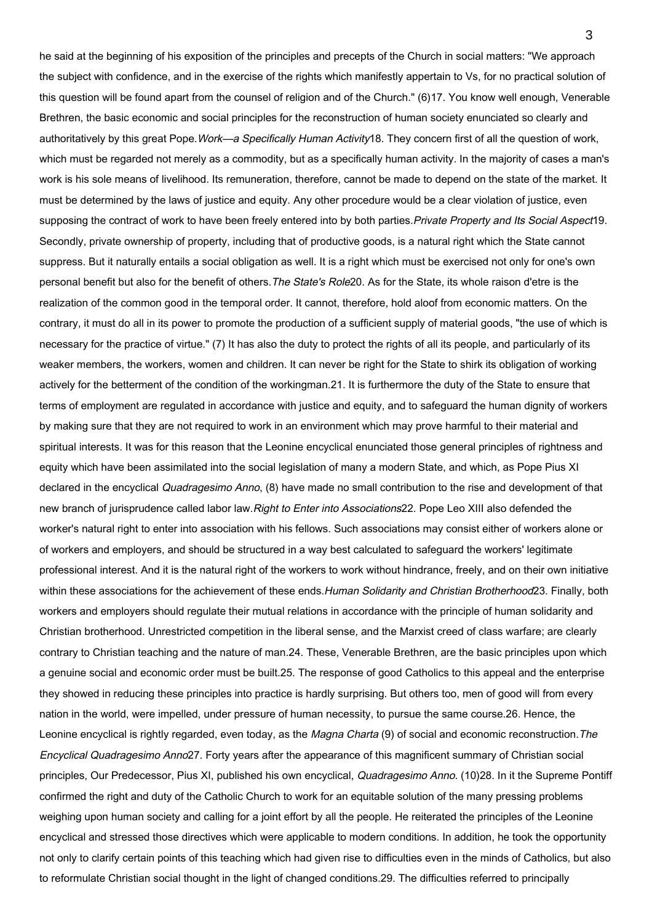he said at the beginning of his exposition of the principles and precepts of the Church in social matters: "We approach the subject with confidence, and in the exercise of the rights which manifestly appertain to Vs, for no practical solution of this question will be found apart from the counsel of religion and of the Church." (6)17. You know well enough, Venerable Brethren, the basic economic and social principles for the reconstruction of human society enunciated so clearly and authoritatively by this great Pope. Work—a Specifically Human Activity18. They concern first of all the question of work, which must be regarded not merely as a commodity, but as a specifically human activity. In the majority of cases a man's work is his sole means of livelihood. Its remuneration, therefore, cannot be made to depend on the state of the market. It must be determined by the laws of justice and equity. Any other procedure would be a clear violation of justice, even supposing the contract of work to have been freely entered into by both parties. Private Property and Its Social Aspect19. Secondly, private ownership of property, including that of productive goods, is a natural right which the State cannot suppress. But it naturally entails a social obligation as well. It is a right which must be exercised not only for one's own personal benefit but also for the benefit of others. The State's Role20. As for the State, its whole raison d'etre is the realization of the common good in the temporal order. It cannot, therefore, hold aloof from economic matters. On the contrary, it must do all in its power to promote the production of a sufficient supply of material goods, "the use of which is necessary for the practice of virtue." (7) It has also the duty to protect the rights of all its people, and particularly of its weaker members, the workers, women and children. It can never be right for the State to shirk its obligation of working actively for the betterment of the condition of the workingman.21. It is furthermore the duty of the State to ensure that terms of employment are regulated in accordance with justice and equity, and to safeguard the human dignity of workers by making sure that they are not required to work in an environment which may prove harmful to their material and spiritual interests. It was for this reason that the Leonine encyclical enunciated those general principles of rightness and equity which have been assimilated into the social legislation of many a modern State, and which, as Pope Pius XI declared in the encyclical Quadragesimo Anno, (8) have made no small contribution to the rise and development of that new branch of jurisprudence called labor law. Right to Enter into Associations22. Pope Leo XIII also defended the worker's natural right to enter into association with his fellows. Such associations may consist either of workers alone or of workers and employers, and should be structured in a way best calculated to safeguard the workers' legitimate professional interest. And it is the natural right of the workers to work without hindrance, freely, and on their own initiative within these associations for the achievement of these ends. Human Solidarity and Christian Brotherhood23. Finally, both workers and employers should regulate their mutual relations in accordance with the principle of human solidarity and Christian brotherhood. Unrestricted competition in the liberal sense, and the Marxist creed of class warfare; are clearly contrary to Christian teaching and the nature of man.24. These, Venerable Brethren, are the basic principles upon which a genuine social and economic order must be built.25. The response of good Catholics to this appeal and the enterprise they showed in reducing these principles into practice is hardly surprising. But others too, men of good will from every nation in the world, were impelled, under pressure of human necessity, to pursue the same course.26. Hence, the Leonine encyclical is rightly regarded, even today, as the Magna Charta (9) of social and economic reconstruction. The Encyclical Quadragesimo Anno27. Forty years after the appearance of this magnificent summary of Christian social principles, Our Predecessor, Pius XI, published his own encyclical, Quadragesimo Anno. (10)28. In it the Supreme Pontiff confirmed the right and duty of the Catholic Church to work for an equitable solution of the many pressing problems weighing upon human society and calling for a joint effort by all the people. He reiterated the principles of the Leonine encyclical and stressed those directives which were applicable to modern conditions. In addition, he took the opportunity not only to clarify certain points of this teaching which had given rise to difficulties even in the minds of Catholics, but also to reformulate Christian social thought in the light of changed conditions.29. The difficulties referred to principally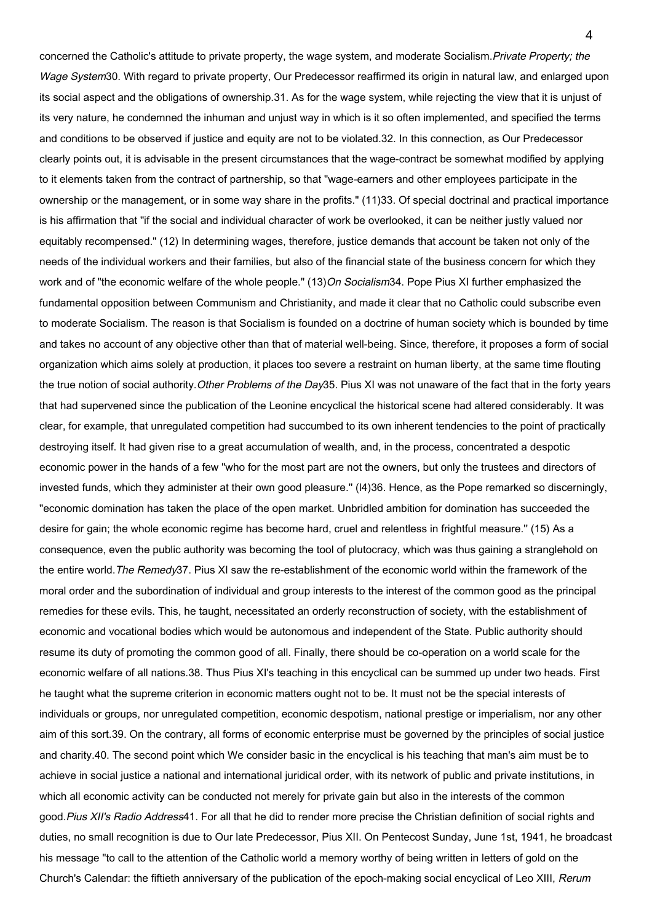concerned the Catholic's attitude to private property, the wage system, and moderate Socialism.Private Property; the Wage System30. With regard to private property, Our Predecessor reaffirmed its origin in natural law, and enlarged upon its social aspect and the obligations of ownership.31. As for the wage system, while rejecting the view that it is unjust of its very nature, he condemned the inhuman and unjust way in which is it so often implemented, and specified the terms and conditions to be observed if justice and equity are not to be violated.32. In this connection, as Our Predecessor clearly points out, it is advisable in the present circumstances that the wage-contract be somewhat modified by applying to it elements taken from the contract of partnership, so that "wage-earners and other employees participate in the ownership or the management, or in some way share in the profits." (11)33. Of special doctrinal and practical importance is his affirmation that "if the social and individual character of work be overlooked, it can be neither justly valued nor equitably recompensed." (12) In determining wages, therefore, justice demands that account be taken not only of the needs of the individual workers and their families, but also of the financial state of the business concern for which they work and of "the economic welfare of the whole people." (13) On Socialism 34. Pope Pius XI further emphasized the fundamental opposition between Communism and Christianity, and made it clear that no Catholic could subscribe even to moderate Socialism. The reason is that Socialism is founded on a doctrine of human society which is bounded by time and takes no account of any objective other than that of material well-being. Since, therefore, it proposes a form of social organization which aims solely at production, it places too severe a restraint on human liberty, at the same time flouting the true notion of social authority. Other Problems of the Day35. Pius XI was not unaware of the fact that in the forty years that had supervened since the publication of the Leonine encyclical the historical scene had altered considerably. It was clear, for example, that unregulated competition had succumbed to its own inherent tendencies to the point of practically destroying itself. It had given rise to a great accumulation of wealth, and, in the process, concentrated a despotic economic power in the hands of a few "who for the most part are not the owners, but only the trustees and directors of invested funds, which they administer at their own good pleasure." ( $\frac{1}{36}$ . Hence, as the Pope remarked so discerningly, "economic domination has taken the place of the open market. Unbridled ambition for domination has succeeded the desire for gain; the whole economic regime has become hard, cruel and relentless in frightful measure.'' (15) As a consequence, even the public authority was becoming the tool of plutocracy, which was thus gaining a stranglehold on the entire world. The Remedy37. Pius XI saw the re-establishment of the economic world within the framework of the moral order and the subordination of individual and group interests to the interest of the common good as the principal remedies for these evils. This, he taught, necessitated an orderly reconstruction of society, with the establishment of economic and vocational bodies which would be autonomous and independent of the State. Public authority should resume its duty of promoting the common good of all. Finally, there should be co-operation on a world scale for the economic welfare of all nations.38. Thus Pius XI's teaching in this encyclical can be summed up under two heads. First he taught what the supreme criterion in economic matters ought not to be. It must not be the special interests of individuals or groups, nor unregulated competition, economic despotism, national prestige or imperialism, nor any other aim of this sort.39. On the contrary, all forms of economic enterprise must be governed by the principles of social justice and charity.40. The second point which We consider basic in the encyclical is his teaching that man's aim must be to achieve in social justice a national and international juridical order, with its network of public and private institutions, in which all economic activity can be conducted not merely for private gain but also in the interests of the common good. Pius XII's Radio Address41. For all that he did to render more precise the Christian definition of social rights and duties, no small recognition is due to Our late Predecessor, Pius XII. On Pentecost Sunday, June 1st, 1941, he broadcast his message "to call to the attention of the Catholic world a memory worthy of being written in letters of gold on the Church's Calendar: the fiftieth anniversary of the publication of the epoch-making social encyclical of Leo XIII, Rerum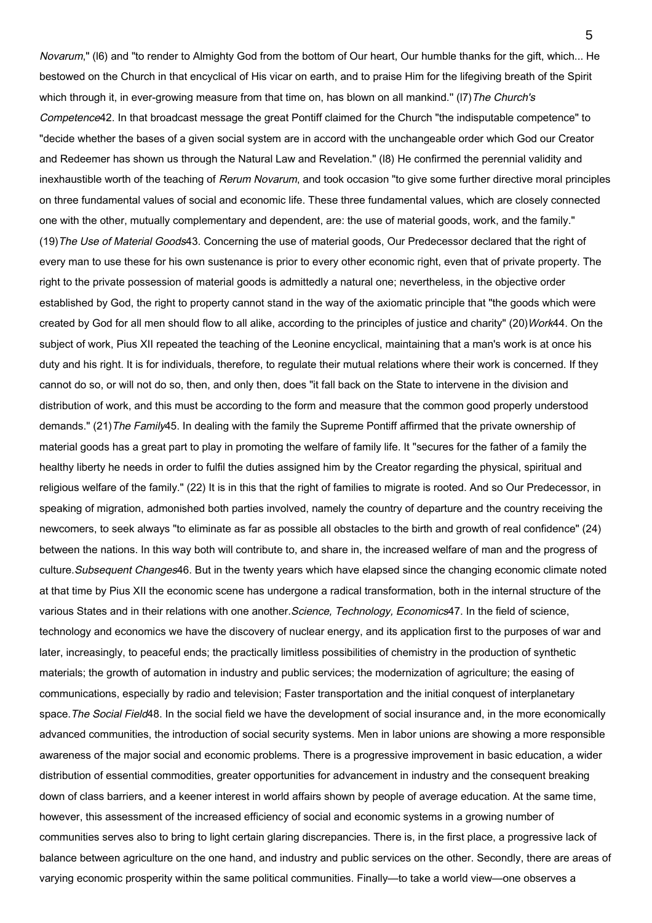Novarum," (l6) and "to render to Almighty God from the bottom of Our heart, Our humble thanks for the gift, which... He bestowed on the Church in that encyclical of His vicar on earth, and to praise Him for the lifegiving breath of the Spirit which through it, in ever-growing measure from that time on, has blown on all mankind." (I7) The Church's Competence42. In that broadcast message the great Pontiff claimed for the Church "the indisputable competence" to "decide whether the bases of a given social system are in accord with the unchangeable order which God our Creator and Redeemer has shown us through the Natural Law and Revelation." (l8) He confirmed the perennial validity and inexhaustible worth of the teaching of Rerum Novarum, and took occasion "to give some further directive moral principles on three fundamental values of social and economic life. These three fundamental values, which are closely connected one with the other, mutually complementary and dependent, are: the use of material goods, work, and the family." (19)The Use of Material Goods43. Concerning the use of material goods, Our Predecessor declared that the right of every man to use these for his own sustenance is prior to every other economic right, even that of private property. The right to the private possession of material goods is admittedly a natural one; nevertheless, in the objective order established by God, the right to property cannot stand in the way of the axiomatic principle that "the goods which were created by God for all men should flow to all alike, according to the principles of justice and charity" (20)Work44. On the subject of work, Pius XII repeated the teaching of the Leonine encyclical, maintaining that a man's work is at once his duty and his right. It is for individuals, therefore, to regulate their mutual relations where their work is concerned. If they cannot do so, or will not do so, then, and only then, does "it fall back on the State to intervene in the division and distribution of work, and this must be according to the form and measure that the common good properly understood demands." (21) The Family45. In dealing with the family the Supreme Pontiff affirmed that the private ownership of material goods has a great part to play in promoting the welfare of family life. It "secures for the father of a family the healthy liberty he needs in order to fulfil the duties assigned him by the Creator regarding the physical, spiritual and religious welfare of the family." (22) It is in this that the right of families to migrate is rooted. And so Our Predecessor, in speaking of migration, admonished both parties involved, namely the country of departure and the country receiving the newcomers, to seek always "to eliminate as far as possible all obstacles to the birth and growth of real confidence" (24) between the nations. In this way both will contribute to, and share in, the increased welfare of man and the progress of culture. Subsequent Changes46. But in the twenty years which have elapsed since the changing economic climate noted at that time by Pius XII the economic scene has undergone a radical transformation, both in the internal structure of the various States and in their relations with one another. Science, Technology, Economics47. In the field of science, technology and economics we have the discovery of nuclear energy, and its application first to the purposes of war and later, increasingly, to peaceful ends; the practically limitless possibilities of chemistry in the production of synthetic materials; the growth of automation in industry and public services; the modernization of agriculture; the easing of communications, especially by radio and television; Faster transportation and the initial conquest of interplanetary space. The Social Field48. In the social field we have the development of social insurance and, in the more economically advanced communities, the introduction of social security systems. Men in labor unions are showing a more responsible awareness of the major social and economic problems. There is a progressive improvement in basic education, a wider distribution of essential commodities, greater opportunities for advancement in industry and the consequent breaking down of class barriers, and a keener interest in world affairs shown by people of average education. At the same time, however, this assessment of the increased efficiency of social and economic systems in a growing number of communities serves also to bring to light certain glaring discrepancies. There is, in the first place, a progressive lack of balance between agriculture on the one hand, and industry and public services on the other. Secondly, there are areas of varying economic prosperity within the same political communities. Finally—to take a world view—one observes a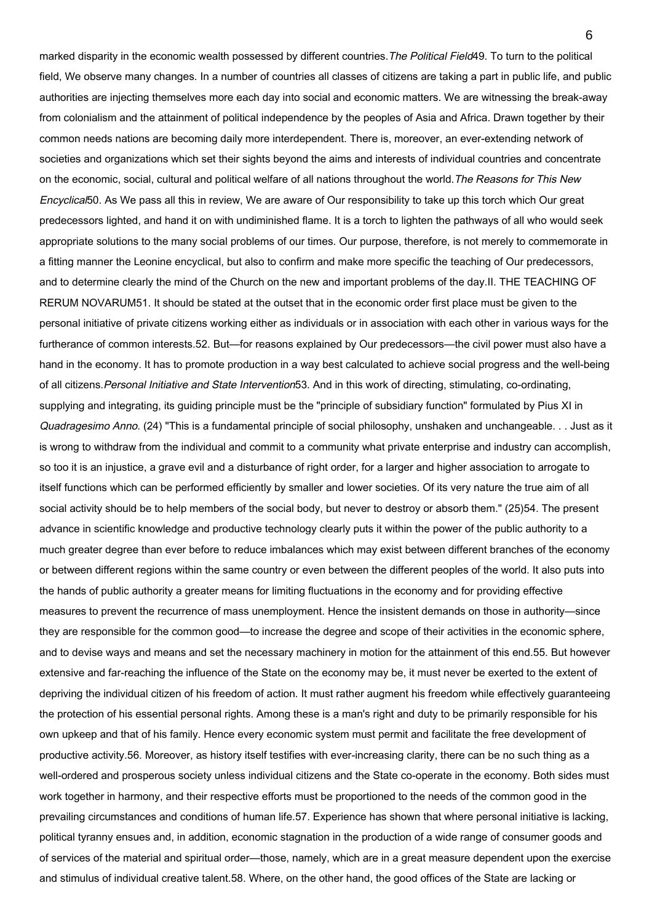marked disparity in the economic wealth possessed by different countries. The Political Field49. To turn to the political field, We observe many changes. In a number of countries all classes of citizens are taking a part in public life, and public authorities are injecting themselves more each day into social and economic matters. We are witnessing the break-away from colonialism and the attainment of political independence by the peoples of Asia and Africa. Drawn together by their common needs nations are becoming daily more interdependent. There is, moreover, an ever-extending network of societies and organizations which set their sights beyond the aims and interests of individual countries and concentrate on the economic, social, cultural and political welfare of all nations throughout the world.The Reasons for This New Encyclical50. As We pass all this in review, We are aware of Our responsibility to take up this torch which Our great predecessors lighted, and hand it on with undiminished flame. It is a torch to lighten the pathways of all who would seek appropriate solutions to the many social problems of our times. Our purpose, therefore, is not merely to commemorate in a fitting manner the Leonine encyclical, but also to confirm and make more specific the teaching of Our predecessors, and to determine clearly the mind of the Church on the new and important problems of the day.II. THE TEACHING OF RERUM NOVARUM51. It should be stated at the outset that in the economic order first place must be given to the personal initiative of private citizens working either as individuals or in association with each other in various ways for the furtherance of common interests.52. But—for reasons explained by Our predecessors—the civil power must also have a hand in the economy. It has to promote production in a way best calculated to achieve social progress and the well-being of all citizens.Personal Initiative and State Intervention53. And in this work of directing, stimulating, co-ordinating, supplying and integrating, its guiding principle must be the "principle of subsidiary function" formulated by Pius XI in Quadragesimo Anno. (24) "This is a fundamental principle of social philosophy, unshaken and unchangeable. . . Just as it is wrong to withdraw from the individual and commit to a community what private enterprise and industry can accomplish, so too it is an injustice, a grave evil and a disturbance of right order, for a larger and higher association to arrogate to itself functions which can be performed efficiently by smaller and lower societies. Of its very nature the true aim of all social activity should be to help members of the social body, but never to destroy or absorb them." (25)54. The present advance in scientific knowledge and productive technology clearly puts it within the power of the public authority to a much greater degree than ever before to reduce imbalances which may exist between different branches of the economy or between different regions within the same country or even between the different peoples of the world. It also puts into the hands of public authority a greater means for limiting fluctuations in the economy and for providing effective measures to prevent the recurrence of mass unemployment. Hence the insistent demands on those in authority—since they are responsible for the common good—to increase the degree and scope of their activities in the economic sphere, and to devise ways and means and set the necessary machinery in motion for the attainment of this end.55. But however extensive and far-reaching the influence of the State on the economy may be, it must never be exerted to the extent of depriving the individual citizen of his freedom of action. It must rather augment his freedom while effectively guaranteeing the protection of his essential personal rights. Among these is a man's right and duty to be primarily responsible for his own upkeep and that of his family. Hence every economic system must permit and facilitate the free development of productive activity.56. Moreover, as history itself testifies with ever-increasing clarity, there can be no such thing as a well-ordered and prosperous society unless individual citizens and the State co-operate in the economy. Both sides must work together in harmony, and their respective efforts must be proportioned to the needs of the common good in the prevailing circumstances and conditions of human life.57. Experience has shown that where personal initiative is lacking, political tyranny ensues and, in addition, economic stagnation in the production of a wide range of consumer goods and of services of the material and spiritual order—those, namely, which are in a great measure dependent upon the exercise and stimulus of individual creative talent.58. Where, on the other hand, the good offices of the State are lacking or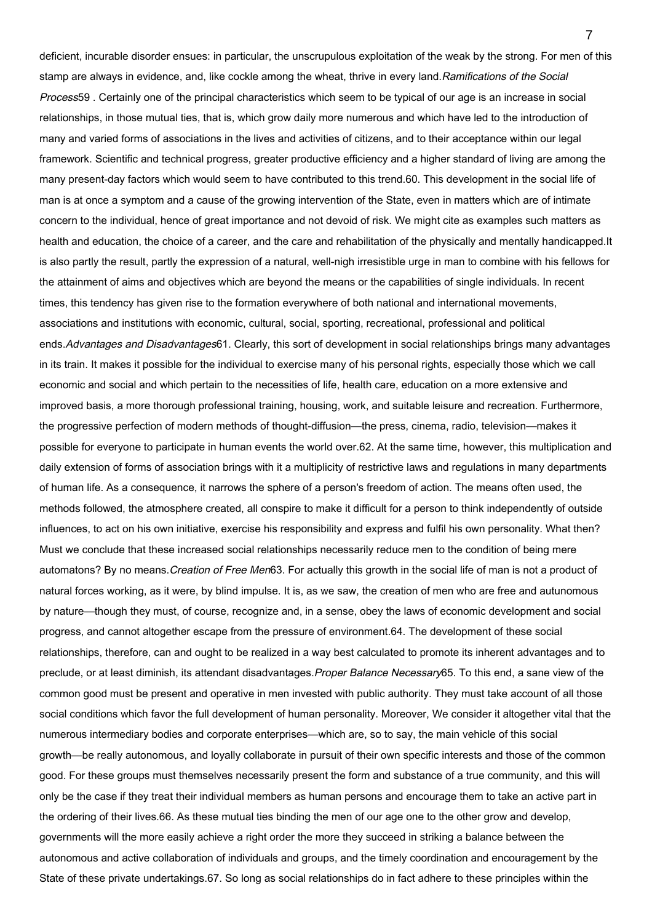deficient, incurable disorder ensues: in particular, the unscrupulous exploitation of the weak by the strong. For men of this stamp are always in evidence, and, like cockle among the wheat, thrive in every land. Ramifications of the Social Process59 . Certainly one of the principal characteristics which seem to be typical of our age is an increase in social relationships, in those mutual ties, that is, which grow daily more numerous and which have led to the introduction of many and varied forms of associations in the lives and activities of citizens, and to their acceptance within our legal framework. Scientific and technical progress, greater productive efficiency and a higher standard of living are among the many present-day factors which would seem to have contributed to this trend.60. This development in the social life of man is at once a symptom and a cause of the growing intervention of the State, even in matters which are of intimate concern to the individual, hence of great importance and not devoid of risk. We might cite as examples such matters as health and education, the choice of a career, and the care and rehabilitation of the physically and mentally handicapped.It is also partly the result, partly the expression of a natural, well-nigh irresistible urge in man to combine with his fellows for the attainment of aims and objectives which are beyond the means or the capabilities of single individuals. In recent times, this tendency has given rise to the formation everywhere of both national and international movements, associations and institutions with economic, cultural, social, sporting, recreational, professional and political ends.Advantages and Disadvantages61. Clearly, this sort of development in social relationships brings many advantages in its train. It makes it possible for the individual to exercise many of his personal rights, especially those which we call economic and social and which pertain to the necessities of life, health care, education on a more extensive and improved basis, a more thorough professional training, housing, work, and suitable leisure and recreation. Furthermore, the progressive perfection of modern methods of thought-diffusion—the press, cinema, radio, television—makes it possible for everyone to participate in human events the world over.62. At the same time, however, this multiplication and daily extension of forms of association brings with it a multiplicity of restrictive laws and regulations in many departments of human life. As a consequence, it narrows the sphere of a person's freedom of action. The means often used, the methods followed, the atmosphere created, all conspire to make it difficult for a person to think independently of outside influences, to act on his own initiative, exercise his responsibility and express and fulfil his own personality. What then? Must we conclude that these increased social relationships necessarily reduce men to the condition of being mere automatons? By no means. Creation of Free Men63. For actually this growth in the social life of man is not a product of natural forces working, as it were, by blind impulse. It is, as we saw, the creation of men who are free and autunomous by nature—though they must, of course, recognize and, in a sense, obey the laws of economic development and social progress, and cannot altogether escape from the pressure of environment.64. The development of these social relationships, therefore, can and ought to be realized in a way best calculated to promote its inherent advantages and to preclude, or at least diminish, its attendant disadvantages. Proper Balance Necessary65. To this end, a sane view of the common good must be present and operative in men invested with public authority. They must take account of all those social conditions which favor the full development of human personality. Moreover, We consider it altogether vital that the numerous intermediary bodies and corporate enterprises—which are, so to say, the main vehicle of this social growth—be really autonomous, and loyally collaborate in pursuit of their own specific interests and those of the common good. For these groups must themselves necessarily present the form and substance of a true community, and this will only be the case if they treat their individual members as human persons and encourage them to take an active part in the ordering of their lives.66. As these mutual ties binding the men of our age one to the other grow and develop, governments will the more easily achieve a right order the more they succeed in striking a balance between the autonomous and active collaboration of individuals and groups, and the timely coordination and encouragement by the State of these private undertakings.67. So long as social relationships do in fact adhere to these principles within the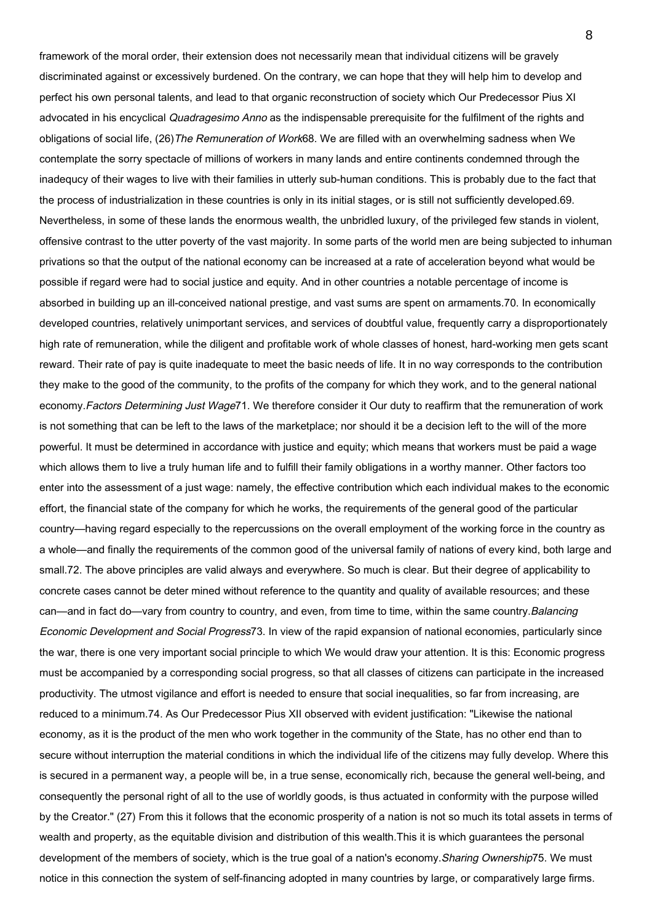framework of the moral order, their extension does not necessarily mean that individual citizens will be gravely discriminated against or excessively burdened. On the contrary, we can hope that they will help him to develop and perfect his own personal talents, and lead to that organic reconstruction of society which Our Predecessor Pius XI advocated in his encyclical *Quadragesimo Anno* as the indispensable prerequisite for the fulfilment of the rights and obligations of social life, (26) The Remuneration of Work68. We are filled with an overwhelming sadness when We contemplate the sorry spectacle of millions of workers in many lands and entire continents condemned through the inadequcy of their wages to live with their families in utterly sub-human conditions. This is probably due to the fact that the process of industrialization in these countries is only in its initial stages, or is still not sufficiently developed.69. Nevertheless, in some of these lands the enormous wealth, the unbridled luxury, of the privileged few stands in violent, offensive contrast to the utter poverty of the vast majority. In some parts of the world men are being subjected to inhuman privations so that the output of the national economy can be increased at a rate of acceleration beyond what would be possible if regard were had to social justice and equity. And in other countries a notable percentage of income is absorbed in building up an ill-conceived national prestige, and vast sums are spent on armaments.70. In economically developed countries, relatively unimportant services, and services of doubtful value, frequently carry a disproportionately high rate of remuneration, while the diligent and profitable work of whole classes of honest, hard-working men gets scant reward. Their rate of pay is quite inadequate to meet the basic needs of life. It in no way corresponds to the contribution they make to the good of the community, to the profits of the company for which they work, and to the general national economy.Factors Determining Just Wage71. We therefore consider it Our duty to reaffirm that the remuneration of work is not something that can be left to the laws of the marketplace; nor should it be a decision left to the will of the more powerful. It must be determined in accordance with justice and equity; which means that workers must be paid a wage which allows them to live a truly human life and to fulfill their family obligations in a worthy manner. Other factors too enter into the assessment of a just wage: namely, the effective contribution which each individual makes to the economic effort, the financial state of the company for which he works, the requirements of the general good of the particular country—having regard especially to the repercussions on the overall employment of the working force in the country as a whole—and finally the requirements of the common good of the universal family of nations of every kind, both large and small.72. The above principles are valid always and everywhere. So much is clear. But their degree of applicability to concrete cases cannot be deter mined without reference to the quantity and quality of available resources; and these can—and in fact do—vary from country to country, and even, from time to time, within the same country. Balancing Economic Development and Social Progress73. In view of the rapid expansion of national economies, particularly since the war, there is one very important social principle to which We would draw your attention. It is this: Economic progress must be accompanied by a corresponding social progress, so that all classes of citizens can participate in the increased productivity. The utmost vigilance and effort is needed to ensure that social inequalities, so far from increasing, are reduced to a minimum.74. As Our Predecessor Pius XII observed with evident justification: "Likewise the national economy, as it is the product of the men who work together in the community of the State, has no other end than to secure without interruption the material conditions in which the individual life of the citizens may fully develop. Where this is secured in a permanent way, a people will be, in a true sense, economically rich, because the general well-being, and consequently the personal right of all to the use of worldly goods, is thus actuated in conformity with the purpose willed by the Creator." (27) From this it follows that the economic prosperity of a nation is not so much its total assets in terms of wealth and property, as the equitable division and distribution of this wealth.This it is which guarantees the personal development of the members of society, which is the true goal of a nation's economy. Sharing Ownership75. We must notice in this connection the system of self-financing adopted in many countries by large, or comparatively large firms.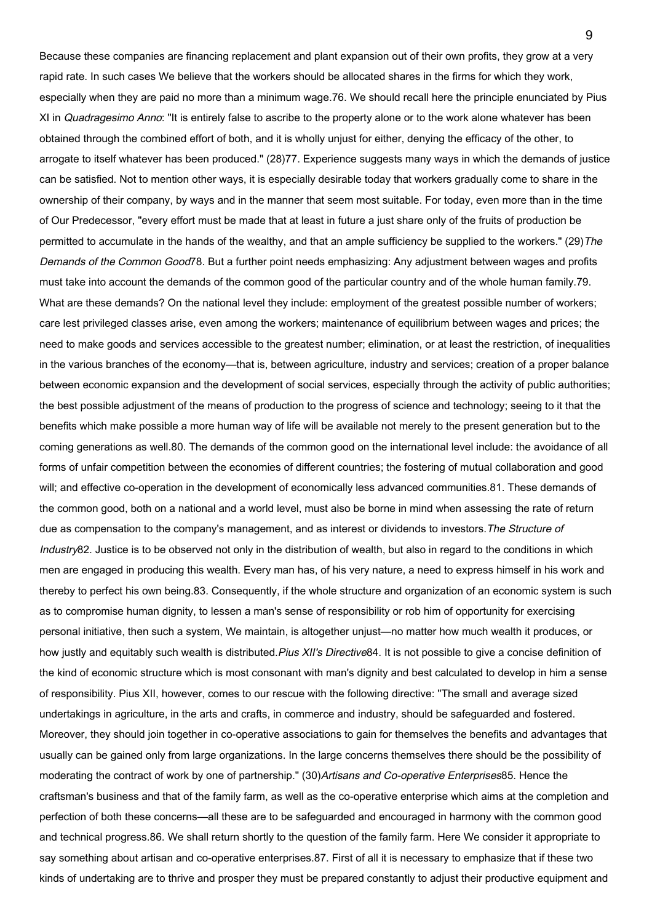Because these companies are financing replacement and plant expansion out of their own profits, they grow at a very rapid rate. In such cases We believe that the workers should be allocated shares in the firms for which they work, especially when they are paid no more than a minimum wage.76. We should recall here the principle enunciated by Pius XI in Quadragesimo Anno: "It is entirely false to ascribe to the property alone or to the work alone whatever has been obtained through the combined effort of both, and it is wholly unjust for either, denying the efficacy of the other, to arrogate to itself whatever has been produced." (28)77. Experience suggests many ways in which the demands of justice can be satisfied. Not to mention other ways, it is especially desirable today that workers gradually come to share in the ownership of their company, by ways and in the manner that seem most suitable. For today, even more than in the time of Our Predecessor, "every effort must be made that at least in future a just share only of the fruits of production be permitted to accumulate in the hands of the wealthy, and that an ample sufficiency be supplied to the workers." (29) The Demands of the Common Good78. But a further point needs emphasizing: Any adjustment between wages and profits must take into account the demands of the common good of the particular country and of the whole human family.79. What are these demands? On the national level they include: employment of the greatest possible number of workers; care lest privileged classes arise, even among the workers; maintenance of equilibrium between wages and prices; the need to make goods and services accessible to the greatest number; elimination, or at least the restriction, of inequalities in the various branches of the economy—that is, between agriculture, industry and services; creation of a proper balance between economic expansion and the development of social services, especially through the activity of public authorities; the best possible adjustment of the means of production to the progress of science and technology; seeing to it that the benefits which make possible a more human way of life will be available not merely to the present generation but to the coming generations as well.80. The demands of the common good on the international level include: the avoidance of all forms of unfair competition between the economies of different countries; the fostering of mutual collaboration and good will; and effective co-operation in the development of economically less advanced communities.81. These demands of the common good, both on a national and a world level, must also be borne in mind when assessing the rate of return due as compensation to the company's management, and as interest or dividends to investors. The Structure of Industry82. Justice is to be observed not only in the distribution of wealth, but also in regard to the conditions in which men are engaged in producing this wealth. Every man has, of his very nature, a need to express himself in his work and thereby to perfect his own being.83. Consequently, if the whole structure and organization of an economic system is such as to compromise human dignity, to lessen a man's sense of responsibility or rob him of opportunity for exercising personal initiative, then such a system, We maintain, is altogether unjust—no matter how much wealth it produces, or how justly and equitably such wealth is distributed. Pius XII's Directive84. It is not possible to give a concise definition of the kind of economic structure which is most consonant with man's dignity and best calculated to develop in him a sense of responsibility. Pius XII, however, comes to our rescue with the following directive: "The small and average sized undertakings in agriculture, in the arts and crafts, in commerce and industry, should be safeguarded and fostered. Moreover, they should join together in co-operative associations to gain for themselves the benefits and advantages that usually can be gained only from large organizations. In the large concerns themselves there should be the possibility of moderating the contract of work by one of partnership." (30)Artisans and Co-operative Enterprises85. Hence the craftsman's business and that of the family farm, as well as the co-operative enterprise which aims at the completion and perfection of both these concerns—all these are to be safeguarded and encouraged in harmony with the common good and technical progress.86. We shall return shortly to the question of the family farm. Here We consider it appropriate to say something about artisan and co-operative enterprises.87. First of all it is necessary to emphasize that if these two kinds of undertaking are to thrive and prosper they must be prepared constantly to adjust their productive equipment and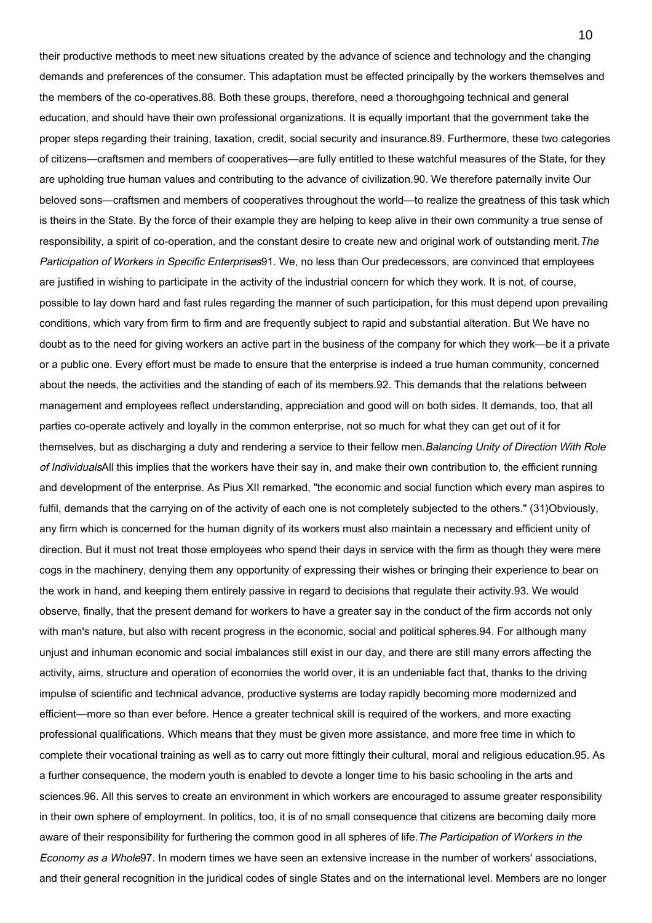their productive methods to meet new situations created by the advance of science and technology and the changing demands and preferences of the consumer. This adaptation must be effected principally by the workers themselves and the members of the co-operatives.88. Both these groups, therefore, need a thoroughgoing technical and general education, and should have their own professional organizations. It is equally important that the government take the proper steps regarding their training, taxation, credit, social security and insurance.89. Furthermore, these two categories of citizens—craftsmen and members of cooperatives—are fully entitled to these watchful measures of the State, for they are upholding true human values and contributing to the advance of civilization.90. We therefore paternally invite Our beloved sons—craftsmen and members of cooperatives throughout the world—to realize the greatness of this task which is theirs in the State. By the force of their example they are helping to keep alive in their own community a true sense of responsibility, a spirit of co-operation, and the constant desire to create new and original work of outstanding merit. The Participation of Workers in Specific Enterprises91. We, no less than Our predecessors, are convinced that employees are justified in wishing to participate in the activity of the industrial concern for which they work. It is not, of course, possible to lay down hard and fast rules regarding the manner of such participation, for this must depend upon prevailing conditions, which vary from firm to firm and are frequently subject to rapid and substantial alteration. But We have no doubt as to the need for giving workers an active part in the business of the company for which they work—be it a private or a public one. Every effort must be made to ensure that the enterprise is indeed a true human community, concerned about the needs, the activities and the standing of each of its members.92. This demands that the relations between management and employees reflect understanding, appreciation and good will on both sides. It demands, too, that all parties co-operate actively and loyally in the common enterprise, not so much for what they can get out of it for themselves, but as discharging a duty and rendering a service to their fellow men. Balancing Unity of Direction With Role of IndividualsAll this implies that the workers have their say in, and make their own contribution to, the efficient running and development of the enterprise. As Pius XII remarked, "the economic and social function which every man aspires to fulfil, demands that the carrying on of the activity of each one is not completely subjected to the others." (31)Obviously, any firm which is concerned for the human dignity of its workers must also maintain a necessary and efficient unity of direction. But it must not treat those employees who spend their days in service with the firm as though they were mere cogs in the machinery, denying them any opportunity of expressing their wishes or bringing their experience to bear on the work in hand, and keeping them entirely passive in regard to decisions that regulate their activity.93. We would observe, finally, that the present demand for workers to have a greater say in the conduct of the firm accords not only with man's nature, but also with recent progress in the economic, social and political spheres.94. For although many unjust and inhuman economic and social imbalances still exist in our day, and there are still many errors affecting the activity, aims, structure and operation of economies the world over, it is an undeniable fact that, thanks to the driving impulse of scientific and technical advance, productive systems are today rapidly becoming more modernized and efficient—more so than ever before. Hence a greater technical skill is required of the workers, and more exacting professional qualifications. Which means that they must be given more assistance, and more free time in which to complete their vocational training as well as to carry out more fittingly their cultural, moral and religious education.95. As a further consequence, the modern youth is enabled to devote a longer time to his basic schooling in the arts and sciences.96. All this serves to create an environment in which workers are encouraged to assume greater responsibility in their own sphere of employment. In politics, too, it is of no small consequence that citizens are becoming daily more aware of their responsibility for furthering the common good in all spheres of life. The Participation of Workers in the Economy as a Whole97. In modern times we have seen an extensive increase in the number of workers' associations, and their general recognition in the juridical codes of single States and on the international level. Members are no longer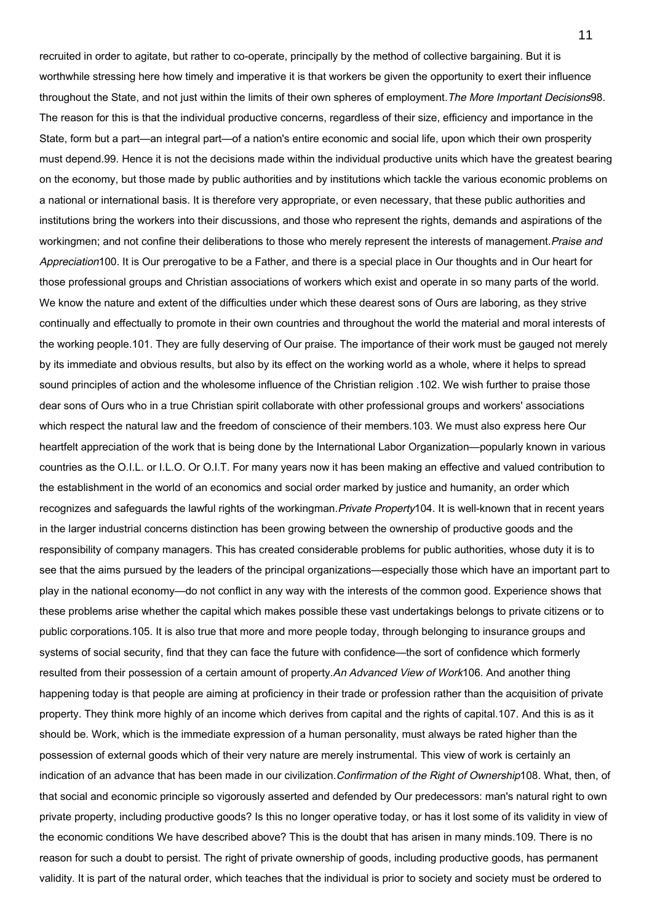recruited in order to agitate, but rather to co-operate, principally by the method of collective bargaining. But it is worthwhile stressing here how timely and imperative it is that workers be given the opportunity to exert their influence throughout the State, and not just within the limits of their own spheres of employment.The More Important Decisions98. The reason for this is that the individual productive concerns, regardless of their size, efficiency and importance in the State, form but a part—an integral part—of a nation's entire economic and social life, upon which their own prosperity must depend.99. Hence it is not the decisions made within the individual productive units which have the greatest bearing on the economy, but those made by public authorities and by institutions which tackle the various economic problems on a national or international basis. It is therefore very appropriate, or even necessary, that these public authorities and institutions bring the workers into their discussions, and those who represent the rights, demands and aspirations of the workingmen; and not confine their deliberations to those who merely represent the interests of management. Praise and Appreciation100. It is Our prerogative to be a Father, and there is a special place in Our thoughts and in Our heart for those professional groups and Christian associations of workers which exist and operate in so many parts of the world. We know the nature and extent of the difficulties under which these dearest sons of Ours are laboring, as they strive continually and effectually to promote in their own countries and throughout the world the material and moral interests of the working people.101. They are fully deserving of Our praise. The importance of their work must be gauged not merely by its immediate and obvious results, but also by its effect on the working world as a whole, where it helps to spread sound principles of action and the wholesome influence of the Christian religion .102. We wish further to praise those dear sons of Ours who in a true Christian spirit collaborate with other professional groups and workers' associations which respect the natural law and the freedom of conscience of their members.103. We must also express here Our heartfelt appreciation of the work that is being done by the International Labor Organization—popularly known in various countries as the O.I.L. or I.L.O. Or O.I.T. For many years now it has been making an effective and valued contribution to the establishment in the world of an economics and social order marked by justice and humanity, an order which recognizes and safeguards the lawful rights of the workingman. Private Property104. It is well-known that in recent years in the larger industrial concerns distinction has been growing between the ownership of productive goods and the responsibility of company managers. This has created considerable problems for public authorities, whose duty it is to see that the aims pursued by the leaders of the principal organizations—especially those which have an important part to play in the national economy—do not conflict in any way with the interests of the common good. Experience shows that these problems arise whether the capital which makes possible these vast undertakings belongs to private citizens or to public corporations.105. It is also true that more and more people today, through belonging to insurance groups and systems of social security, find that they can face the future with confidence—the sort of confidence which formerly resulted from their possession of a certain amount of property.An Advanced View of Work106. And another thing happening today is that people are aiming at proficiency in their trade or profession rather than the acquisition of private property. They think more highly of an income which derives from capital and the rights of capital.107. And this is as it should be. Work, which is the immediate expression of a human personality, must always be rated higher than the possession of external goods which of their very nature are merely instrumental. This view of work is certainly an indication of an advance that has been made in our civilization. Confirmation of the Right of Ownership108. What, then, of that social and economic principle so vigorously asserted and defended by Our predecessors: man's natural right to own private property, including productive goods? Is this no longer operative today, or has it lost some of its validity in view of the economic conditions We have described above? This is the doubt that has arisen in many minds.109. There is no reason for such a doubt to persist. The right of private ownership of goods, including productive goods, has permanent validity. It is part of the natural order, which teaches that the individual is prior to society and society must be ordered to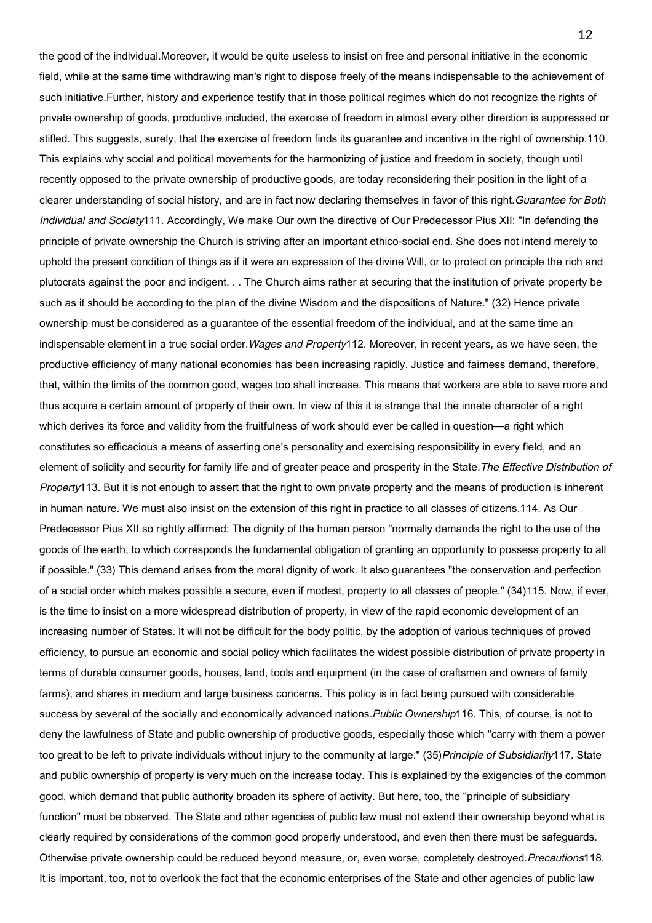the good of the individual.Moreover, it would be quite useless to insist on free and personal initiative in the economic field, while at the same time withdrawing man's right to dispose freely of the means indispensable to the achievement of such initiative.Further, history and experience testify that in those political regimes which do not recognize the rights of private ownership of goods, productive included, the exercise of freedom in almost every other direction is suppressed or stifled. This suggests, surely, that the exercise of freedom finds its guarantee and incentive in the right of ownership.110. This explains why social and political movements for the harmonizing of justice and freedom in society, though until recently opposed to the private ownership of productive goods, are today reconsidering their position in the light of a clearer understanding of social history, and are in fact now declaring themselves in favor of this right. Guarantee for Both Individual and Society111. Accordingly, We make Our own the directive of Our Predecessor Pius XII: "In defending the principle of private ownership the Church is striving after an important ethico-social end. She does not intend merely to uphold the present condition of things as if it were an expression of the divine Will, or to protect on principle the rich and plutocrats against the poor and indigent. . . The Church aims rather at securing that the institution of private property be such as it should be according to the plan of the divine Wisdom and the dispositions of Nature." (32) Hence private ownership must be considered as a guarantee of the essential freedom of the individual, and at the same time an indispensable element in a true social order. Wages and Property112. Moreover, in recent years, as we have seen, the productive efficiency of many national economies has been increasing rapidly. Justice and fairness demand, therefore, that, within the limits of the common good, wages too shall increase. This means that workers are able to save more and thus acquire a certain amount of property of their own. In view of this it is strange that the innate character of a right which derives its force and validity from the fruitfulness of work should ever be called in question—a right which constitutes so efficacious a means of asserting one's personality and exercising responsibility in every field, and an element of solidity and security for family life and of greater peace and prosperity in the State.The Effective Distribution of *Property*113. But it is not enough to assert that the right to own private property and the means of production is inherent in human nature. We must also insist on the extension of this right in practice to all classes of citizens.114. As Our Predecessor Pius XII so rightly affirmed: The dignity of the human person "normally demands the right to the use of the goods of the earth, to which corresponds the fundamental obligation of granting an opportunity to possess property to all if possible." (33) This demand arises from the moral dignity of work. It also guarantees "the conservation and perfection of a social order which makes possible a secure, even if modest, property to all classes of people." (34)115. Now, if ever, is the time to insist on a more widespread distribution of property, in view of the rapid economic development of an increasing number of States. It will not be difficult for the body politic, by the adoption of various techniques of proved efficiency, to pursue an economic and social policy which facilitates the widest possible distribution of private property in terms of durable consumer goods, houses, land, tools and equipment (in the case of craftsmen and owners of family farms), and shares in medium and large business concerns. This policy is in fact being pursued with considerable success by several of the socially and economically advanced nations. Public Ownership116. This, of course, is not to deny the lawfulness of State and public ownership of productive goods, especially those which "carry with them a power too great to be left to private individuals without injury to the community at large." (35) Principle of Subsidiarity117. State and public ownership of property is very much on the increase today. This is explained by the exigencies of the common good, which demand that public authority broaden its sphere of activity. But here, too, the "principle of subsidiary function" must be observed. The State and other agencies of public law must not extend their ownership beyond what is clearly required by considerations of the common good properly understood, and even then there must be safeguards. Otherwise private ownership could be reduced beyond measure, or, even worse, completely destroyed.Precautions118. It is important, too, not to overlook the fact that the economic enterprises of the State and other agencies of public law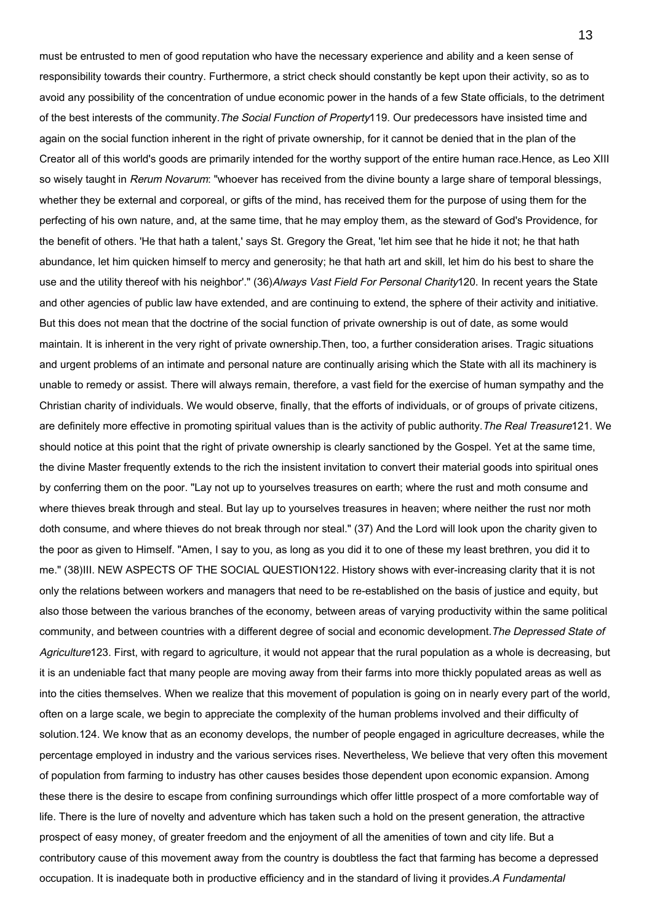must be entrusted to men of good reputation who have the necessary experience and ability and a keen sense of responsibility towards their country. Furthermore, a strict check should constantly be kept upon their activity, so as to avoid any possibility of the concentration of undue economic power in the hands of a few State officials, to the detriment of the best interests of the community. The Social Function of Property119. Our predecessors have insisted time and again on the social function inherent in the right of private ownership, for it cannot be denied that in the plan of the Creator all of this world's goods are primarily intended for the worthy support of the entire human race.Hence, as Leo XIII so wisely taught in Rerum Novarum: "whoever has received from the divine bounty a large share of temporal blessings, whether they be external and corporeal, or gifts of the mind, has received them for the purpose of using them for the perfecting of his own nature, and, at the same time, that he may employ them, as the steward of God's Providence, for the benefit of others. 'He that hath a talent,' says St. Gregory the Great, 'let him see that he hide it not; he that hath abundance, let him quicken himself to mercy and generosity; he that hath art and skill, let him do his best to share the use and the utility thereof with his neighbor'." (36)Always Vast Field For Personal Charity120. In recent years the State and other agencies of public law have extended, and are continuing to extend, the sphere of their activity and initiative. But this does not mean that the doctrine of the social function of private ownership is out of date, as some would maintain. It is inherent in the very right of private ownership.Then, too, a further consideration arises. Tragic situations and urgent problems of an intimate and personal nature are continually arising which the State with all its machinery is unable to remedy or assist. There will always remain, therefore, a vast field for the exercise of human sympathy and the Christian charity of individuals. We would observe, finally, that the efforts of individuals, or of groups of private citizens, are definitely more effective in promoting spiritual values than is the activity of public authority. The Real Treasure121. We should notice at this point that the right of private ownership is clearly sanctioned by the Gospel. Yet at the same time, the divine Master frequently extends to the rich the insistent invitation to convert their material goods into spiritual ones by conferring them on the poor. "Lay not up to yourselves treasures on earth; where the rust and moth consume and where thieves break through and steal. But lay up to yourselves treasures in heaven; where neither the rust nor moth doth consume, and where thieves do not break through nor steal." (37) And the Lord will look upon the charity given to the poor as given to Himself. "Amen, I say to you, as long as you did it to one of these my least brethren, you did it to me." (38)III. NEW ASPECTS OF THE SOCIAL QUESTION122. History shows with ever-increasing clarity that it is not only the relations between workers and managers that need to be re-established on the basis of justice and equity, but also those between the various branches of the economy, between areas of varying productivity within the same political community, and between countries with a different degree of social and economic development. The Depressed State of Agriculture123. First, with regard to agriculture, it would not appear that the rural population as a whole is decreasing, but it is an undeniable fact that many people are moving away from their farms into more thickly populated areas as well as into the cities themselves. When we realize that this movement of population is going on in nearly every part of the world, often on a large scale, we begin to appreciate the complexity of the human problems involved and their difficulty of solution.124. We know that as an economy develops, the number of people engaged in agriculture decreases, while the percentage employed in industry and the various services rises. Nevertheless, We believe that very often this movement of population from farming to industry has other causes besides those dependent upon economic expansion. Among these there is the desire to escape from confining surroundings which offer little prospect of a more comfortable way of life. There is the lure of novelty and adventure which has taken such a hold on the present generation, the attractive prospect of easy money, of greater freedom and the enjoyment of all the amenities of town and city life. But a contributory cause of this movement away from the country is doubtless the fact that farming has become a depressed occupation. It is inadequate both in productive efficiency and in the standard of living it provides. A Fundamental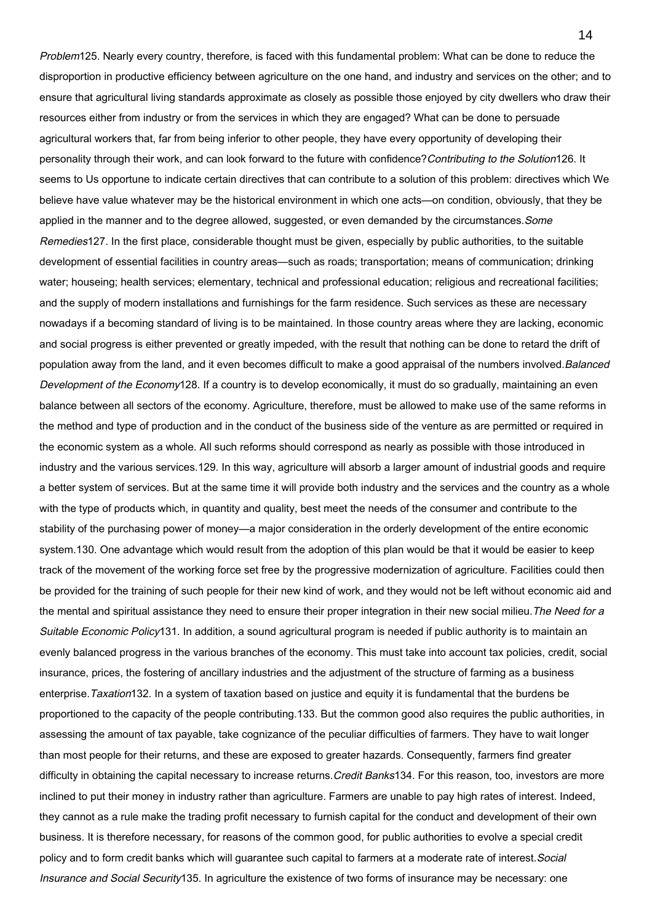Problem125. Nearly every country, therefore, is faced with this fundamental problem: What can be done to reduce the disproportion in productive efficiency between agriculture on the one hand, and industry and services on the other; and to ensure that agricultural living standards approximate as closely as possible those enjoyed by city dwellers who draw their resources either from industry or from the services in which they are engaged? What can be done to persuade agricultural workers that, far from being inferior to other people, they have every opportunity of developing their personality through their work, and can look forward to the future with confidence? Contributing to the Solution126. It seems to Us opportune to indicate certain directives that can contribute to a solution of this problem: directives which We believe have value whatever may be the historical environment in which one acts—on condition, obviously, that they be applied in the manner and to the degree allowed, suggested, or even demanded by the circumstances. Some Remedies127. In the first place, considerable thought must be given, especially by public authorities, to the suitable development of essential facilities in country areas—such as roads; transportation; means of communication; drinking water; houseing; health services; elementary, technical and professional education; religious and recreational facilities; and the supply of modern installations and furnishings for the farm residence. Such services as these are necessary nowadays if a becoming standard of living is to be maintained. In those country areas where they are lacking, economic and social progress is either prevented or greatly impeded, with the result that nothing can be done to retard the drift of population away from the land, and it even becomes difficult to make a good appraisal of the numbers involved. Balanced Development of the Economy128. If a country is to develop economically, it must do so gradually, maintaining an even balance between all sectors of the economy. Agriculture, therefore, must be allowed to make use of the same reforms in the method and type of production and in the conduct of the business side of the venture as are permitted or required in the economic system as a whole. All such reforms should correspond as nearly as possible with those introduced in industry and the various services.129. In this way, agriculture will absorb a larger amount of industrial goods and require a better system of services. But at the same time it will provide both industry and the services and the country as a whole with the type of products which, in quantity and quality, best meet the needs of the consumer and contribute to the stability of the purchasing power of money—a major consideration in the orderly development of the entire economic system.130. One advantage which would result from the adoption of this plan would be that it would be easier to keep track of the movement of the working force set free by the progressive modernization of agriculture. Facilities could then be provided for the training of such people for their new kind of work, and they would not be left without economic aid and the mental and spiritual assistance they need to ensure their proper integration in their new social milieu. The Need for a Suitable Economic Policy131. In addition, a sound agricultural program is needed if public authority is to maintain an evenly balanced progress in the various branches of the economy. This must take into account tax policies, credit, social insurance, prices, the fostering of ancillary industries and the adjustment of the structure of farming as a business enterprise. Taxation132. In a system of taxation based on justice and equity it is fundamental that the burdens be proportioned to the capacity of the people contributing.133. But the common good also requires the public authorities, in assessing the amount of tax payable, take cognizance of the peculiar difficulties of farmers. They have to wait longer than most people for their returns, and these are exposed to greater hazards. Consequently, farmers find greater difficulty in obtaining the capital necessary to increase returns. Credit Banks134. For this reason, too, investors are more inclined to put their money in industry rather than agriculture. Farmers are unable to pay high rates of interest. Indeed, they cannot as a rule make the trading profit necessary to furnish capital for the conduct and development of their own business. It is therefore necessary, for reasons of the common good, for public authorities to evolve a special credit policy and to form credit banks which will guarantee such capital to farmers at a moderate rate of interest.Social Insurance and Social Security135. In agriculture the existence of two forms of insurance may be necessary: one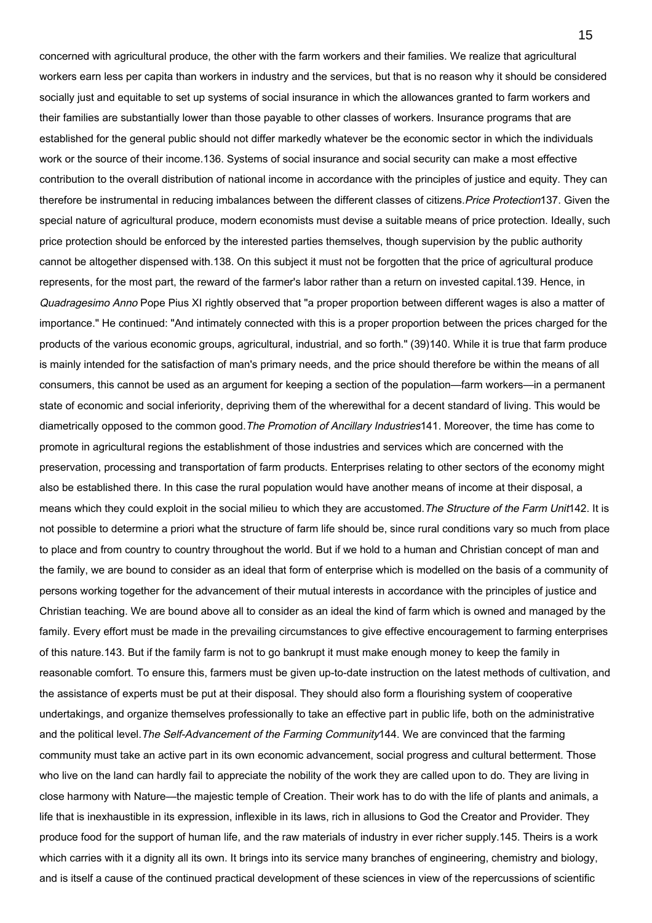concerned with agricultural produce, the other with the farm workers and their families. We realize that agricultural workers earn less per capita than workers in industry and the services, but that is no reason why it should be considered socially just and equitable to set up systems of social insurance in which the allowances granted to farm workers and their families are substantially lower than those payable to other classes of workers. Insurance programs that are established for the general public should not differ markedly whatever be the economic sector in which the individuals work or the source of their income.136. Systems of social insurance and social security can make a most effective contribution to the overall distribution of national income in accordance with the principles of justice and equity. They can therefore be instrumental in reducing imbalances between the different classes of citizens. Price Protection137. Given the special nature of agricultural produce, modern economists must devise a suitable means of price protection. Ideally, such price protection should be enforced by the interested parties themselves, though supervision by the public authority cannot be altogether dispensed with.138. On this subject it must not be forgotten that the price of agricultural produce represents, for the most part, the reward of the farmer's labor rather than a return on invested capital.139. Hence, in Quadragesimo Anno Pope Pius XI rightly observed that "a proper proportion between different wages is also a matter of importance." He continued: "And intimately connected with this is a proper proportion between the prices charged for the products of the various economic groups, agricultural, industrial, and so forth." (39)140. While it is true that farm produce is mainly intended for the satisfaction of man's primary needs, and the price should therefore be within the means of all consumers, this cannot be used as an argument for keeping a section of the population—farm workers—in a permanent state of economic and social inferiority, depriving them of the wherewithal for a decent standard of living. This would be diametrically opposed to the common good. The Promotion of Ancillary Industries141. Moreover, the time has come to promote in agricultural regions the establishment of those industries and services which are concerned with the preservation, processing and transportation of farm products. Enterprises relating to other sectors of the economy might also be established there. In this case the rural population would have another means of income at their disposal, a means which they could exploit in the social milieu to which they are accustomed. The Structure of the Farm Unit142. It is not possible to determine a priori what the structure of farm life should be, since rural conditions vary so much from place to place and from country to country throughout the world. But if we hold to a human and Christian concept of man and the family, we are bound to consider as an ideal that form of enterprise which is modelled on the basis of a community of persons working together for the advancement of their mutual interests in accordance with the principles of justice and Christian teaching. We are bound above all to consider as an ideal the kind of farm which is owned and managed by the family. Every effort must be made in the prevailing circumstances to give effective encouragement to farming enterprises of this nature.143. But if the family farm is not to go bankrupt it must make enough money to keep the family in reasonable comfort. To ensure this, farmers must be given up-to-date instruction on the latest methods of cultivation, and the assistance of experts must be put at their disposal. They should also form a flourishing system of cooperative undertakings, and organize themselves professionally to take an effective part in public life, both on the administrative and the political level. The Self-Advancement of the Farming Community144. We are convinced that the farming community must take an active part in its own economic advancement, social progress and cultural betterment. Those who live on the land can hardly fail to appreciate the nobility of the work they are called upon to do. They are living in close harmony with Nature—the majestic temple of Creation. Their work has to do with the life of plants and animals, a life that is inexhaustible in its expression, inflexible in its laws, rich in allusions to God the Creator and Provider. They produce food for the support of human life, and the raw materials of industry in ever richer supply.145. Theirs is a work which carries with it a dignity all its own. It brings into its service many branches of engineering, chemistry and biology, and is itself a cause of the continued practical development of these sciences in view of the repercussions of scientific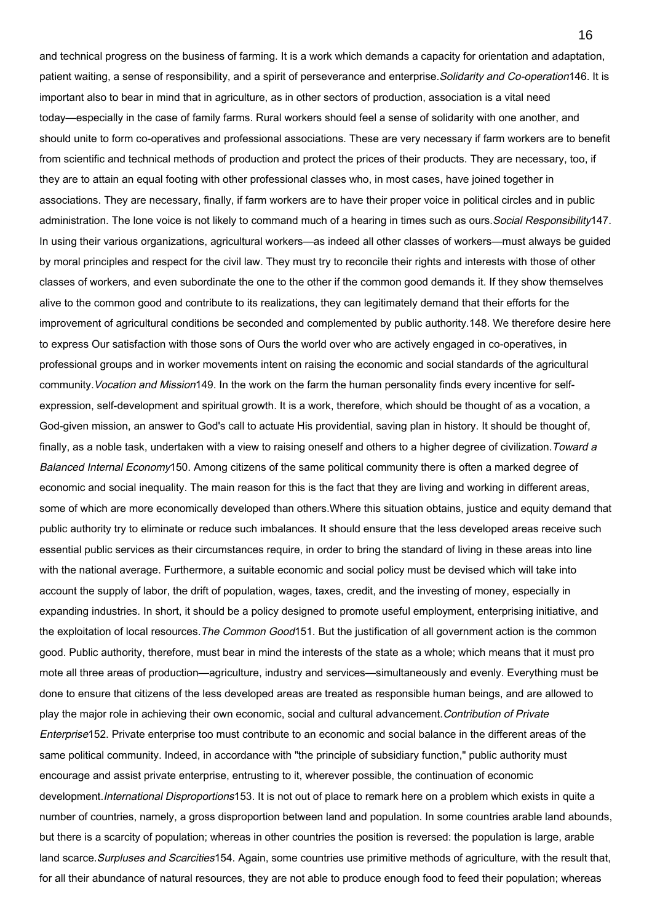and technical progress on the business of farming. It is a work which demands a capacity for orientation and adaptation, patient waiting, a sense of responsibility, and a spirit of perseverance and enterprise. Solidarity and Co-operation146. It is important also to bear in mind that in agriculture, as in other sectors of production, association is a vital need today—especially in the case of family farms. Rural workers should feel a sense of solidarity with one another, and should unite to form co-operatives and professional associations. These are very necessary if farm workers are to benefit from scientific and technical methods of production and protect the prices of their products. They are necessary, too, if they are to attain an equal footing with other professional classes who, in most cases, have joined together in associations. They are necessary, finally, if farm workers are to have their proper voice in political circles and in public administration. The lone voice is not likely to command much of a hearing in times such as ours. Social Responsibility147. In using their various organizations, agricultural workers—as indeed all other classes of workers—must always be guided by moral principles and respect for the civil law. They must try to reconcile their rights and interests with those of other classes of workers, and even subordinate the one to the other if the common good demands it. If they show themselves alive to the common good and contribute to its realizations, they can legitimately demand that their efforts for the improvement of agricultural conditions be seconded and complemented by public authority.148. We therefore desire here to express Our satisfaction with those sons of Ours the world over who are actively engaged in co-operatives, in professional groups and in worker movements intent on raising the economic and social standards of the agricultural community.Vocation and Mission149. In the work on the farm the human personality finds every incentive for selfexpression, self-development and spiritual growth. It is a work, therefore, which should be thought of as a vocation, a God-given mission, an answer to God's call to actuate His providential, saving plan in history. It should be thought of, finally, as a noble task, undertaken with a view to raising oneself and others to a higher degree of civilization. Toward a Balanced Internal Economy150. Among citizens of the same political community there is often a marked degree of economic and social inequality. The main reason for this is the fact that they are living and working in different areas, some of which are more economically developed than others.Where this situation obtains, justice and equity demand that public authority try to eliminate or reduce such imbalances. It should ensure that the less developed areas receive such essential public services as their circumstances require, in order to bring the standard of living in these areas into line with the national average. Furthermore, a suitable economic and social policy must be devised which will take into account the supply of labor, the drift of population, wages, taxes, credit, and the investing of money, especially in expanding industries. In short, it should be a policy designed to promote useful employment, enterprising initiative, and the exploitation of local resources. The Common Good151. But the justification of all government action is the common good. Public authority, therefore, must bear in mind the interests of the state as a whole; which means that it must pro mote all three areas of production—agriculture, industry and services—simultaneously and evenly. Everything must be done to ensure that citizens of the less developed areas are treated as responsible human beings, and are allowed to play the major role in achieving their own economic, social and cultural advancement.Contribution of Private Enterprise152. Private enterprise too must contribute to an economic and social balance in the different areas of the same political community. Indeed, in accordance with "the principle of subsidiary function," public authority must encourage and assist private enterprise, entrusting to it, wherever possible, the continuation of economic development.*International Disproportions*153. It is not out of place to remark here on a problem which exists in quite a number of countries, namely, a gross disproportion between land and population. In some countries arable land abounds, but there is a scarcity of population; whereas in other countries the position is reversed: the population is large, arable land scarce. Surpluses and Scarcities154. Again, some countries use primitive methods of agriculture, with the result that, for all their abundance of natural resources, they are not able to produce enough food to feed their population; whereas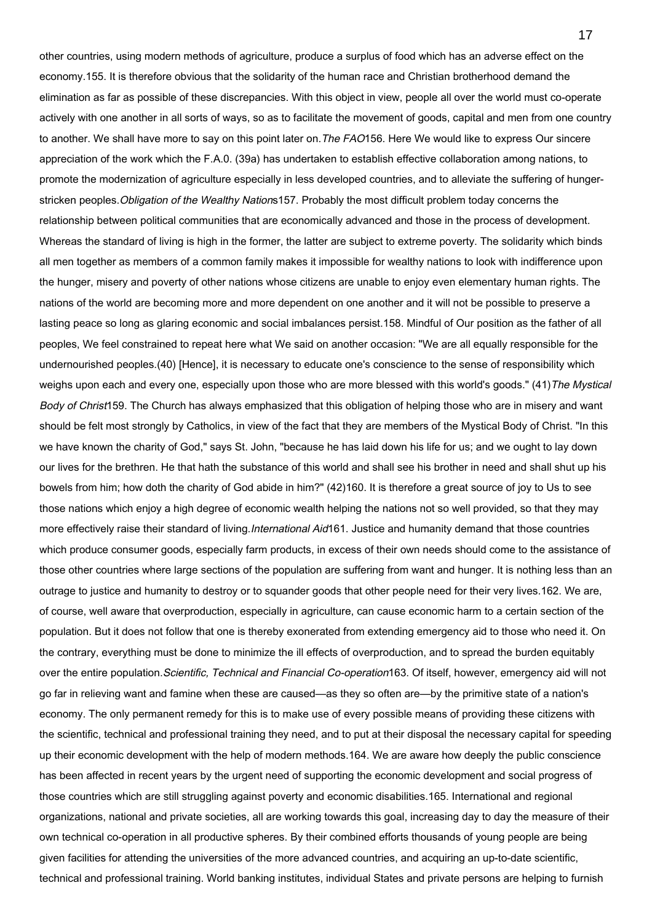other countries, using modern methods of agriculture, produce a surplus of food which has an adverse effect on the economy.155. It is therefore obvious that the solidarity of the human race and Christian brotherhood demand the elimination as far as possible of these discrepancies. With this object in view, people all over the world must co-operate actively with one another in all sorts of ways, so as to facilitate the movement of goods, capital and men from one country to another. We shall have more to say on this point later on. The FAO156. Here We would like to express Our sincere appreciation of the work which the F.A.0. (39a) has undertaken to establish effective collaboration among nations, to promote the modernization of agriculture especially in less developed countries, and to alleviate the suffering of hungerstricken peoples. Obligation of the Wealthy Nations157. Probably the most difficult problem today concerns the relationship between political communities that are economically advanced and those in the process of development. Whereas the standard of living is high in the former, the latter are subject to extreme poverty. The solidarity which binds all men together as members of a common family makes it impossible for wealthy nations to look with indifference upon the hunger, misery and poverty of other nations whose citizens are unable to enjoy even elementary human rights. The nations of the world are becoming more and more dependent on one another and it will not be possible to preserve a lasting peace so long as glaring economic and social imbalances persist.158. Mindful of Our position as the father of all peoples, We feel constrained to repeat here what We said on another occasion: "We are all equally responsible for the undernourished peoples.(40) [Hence], it is necessary to educate one's conscience to the sense of responsibility which weighs upon each and every one, especially upon those who are more blessed with this world's goods." (41) The Mystical Body of Christ159. The Church has always emphasized that this obligation of helping those who are in misery and want should be felt most strongly by Catholics, in view of the fact that they are members of the Mystical Body of Christ. "In this we have known the charity of God," says St. John, "because he has laid down his life for us; and we ought to lay down our lives for the brethren. He that hath the substance of this world and shall see his brother in need and shall shut up his bowels from him; how doth the charity of God abide in him?" (42)160. It is therefore a great source of joy to Us to see those nations which enjoy a high degree of economic wealth helping the nations not so well provided, so that they may more effectively raise their standard of living.*International Aid*161. Justice and humanity demand that those countries which produce consumer goods, especially farm products, in excess of their own needs should come to the assistance of those other countries where large sections of the population are suffering from want and hunger. It is nothing less than an outrage to justice and humanity to destroy or to squander goods that other people need for their very lives.162. We are, of course, well aware that overproduction, especially in agriculture, can cause economic harm to a certain section of the population. But it does not follow that one is thereby exonerated from extending emergency aid to those who need it. On the contrary, everything must be done to minimize the ill effects of overproduction, and to spread the burden equitably over the entire population. Scientific, Technical and Financial Co-operation163. Of itself, however, emergency aid will not go far in relieving want and famine when these are caused—as they so often are—by the primitive state of a nation's economy. The only permanent remedy for this is to make use of every possible means of providing these citizens with the scientific, technical and professional training they need, and to put at their disposal the necessary capital for speeding up their economic development with the help of modern methods.164. We are aware how deeply the public conscience has been affected in recent years by the urgent need of supporting the economic development and social progress of those countries which are still struggling against poverty and economic disabilities.165. International and regional organizations, national and private societies, all are working towards this goal, increasing day to day the measure of their own technical co-operation in all productive spheres. By their combined efforts thousands of young people are being given facilities for attending the universities of the more advanced countries, and acquiring an up-to-date scientific, technical and professional training. World banking institutes, individual States and private persons are helping to furnish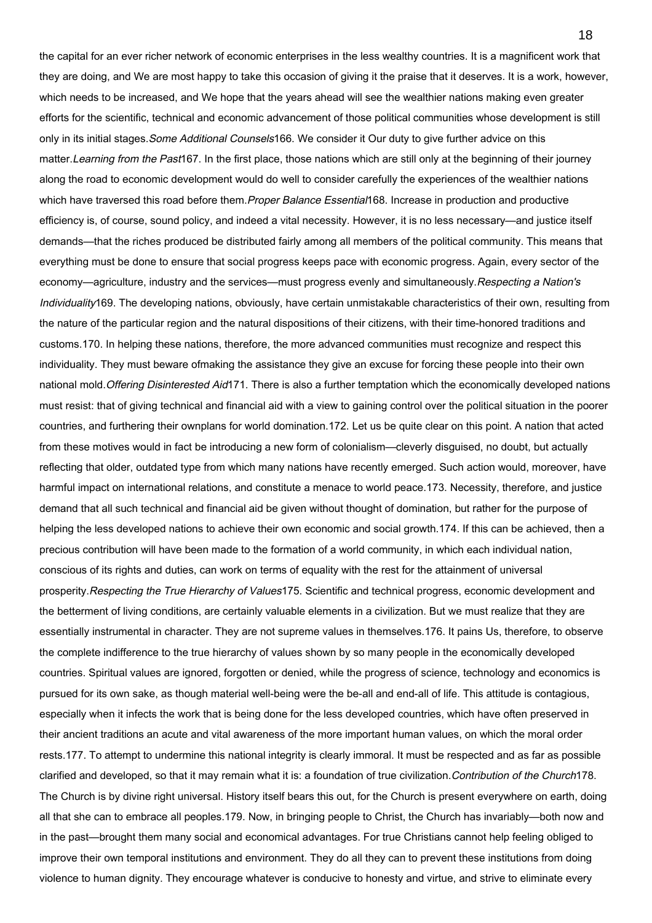the capital for an ever richer network of economic enterprises in the less wealthy countries. It is a magnificent work that they are doing, and We are most happy to take this occasion of giving it the praise that it deserves. It is a work, however, which needs to be increased, and We hope that the years ahead will see the wealthier nations making even greater efforts for the scientific, technical and economic advancement of those political communities whose development is still only in its initial stages. Some Additional Counsels166. We consider it Our duty to give further advice on this matter. Learning from the Past167. In the first place, those nations which are still only at the beginning of their journey along the road to economic development would do well to consider carefully the experiences of the wealthier nations which have traversed this road before them. Proper Balance Essential168. Increase in production and productive efficiency is, of course, sound policy, and indeed a vital necessity. However, it is no less necessary—and justice itself demands—that the riches produced be distributed fairly among all members of the political community. This means that everything must be done to ensure that social progress keeps pace with economic progress. Again, every sector of the economy—agriculture, industry and the services—must progress evenly and simultaneously. Respecting a Nation's Individuality169. The developing nations, obviously, have certain unmistakable characteristics of their own, resulting from the nature of the particular region and the natural dispositions of their citizens, with their time-honored traditions and customs.170. In helping these nations, therefore, the more advanced communities must recognize and respect this individuality. They must beware ofmaking the assistance they give an excuse for forcing these people into their own national mold. Offering Disinterested Aid171. There is also a further temptation which the economically developed nations must resist: that of giving technical and financial aid with a view to gaining control over the political situation in the poorer countries, and furthering their ownplans for world domination.172. Let us be quite clear on this point. A nation that acted from these motives would in fact be introducing a new form of colonialism—cleverly disguised, no doubt, but actually reflecting that older, outdated type from which many nations have recently emerged. Such action would, moreover, have harmful impact on international relations, and constitute a menace to world peace.173. Necessity, therefore, and justice demand that all such technical and financial aid be given without thought of domination, but rather for the purpose of helping the less developed nations to achieve their own economic and social growth.174. If this can be achieved, then a precious contribution will have been made to the formation of a world community, in which each individual nation, conscious of its rights and duties, can work on terms of equality with the rest for the attainment of universal prosperity.Respecting the True Hierarchy of Values175. Scientific and technical progress, economic development and the betterment of living conditions, are certainly valuable elements in a civilization. But we must realize that they are essentially instrumental in character. They are not supreme values in themselves.176. It pains Us, therefore, to observe the complete indifference to the true hierarchy of values shown by so many people in the economically developed countries. Spiritual values are ignored, forgotten or denied, while the progress of science, technology and economics is pursued for its own sake, as though material well-being were the be-all and end-all of life. This attitude is contagious, especially when it infects the work that is being done for the less developed countries, which have often preserved in their ancient traditions an acute and vital awareness of the more important human values, on which the moral order rests.177. To attempt to undermine this national integrity is clearly immoral. It must be respected and as far as possible clarified and developed, so that it may remain what it is: a foundation of true civilization.Contribution of the Church178. The Church is by divine right universal. History itself bears this out, for the Church is present everywhere on earth, doing all that she can to embrace all peoples.179. Now, in bringing people to Christ, the Church has invariably—both now and in the past—brought them many social and economical advantages. For true Christians cannot help feeling obliged to improve their own temporal institutions and environment. They do all they can to prevent these institutions from doing violence to human dignity. They encourage whatever is conducive to honesty and virtue, and strive to eliminate every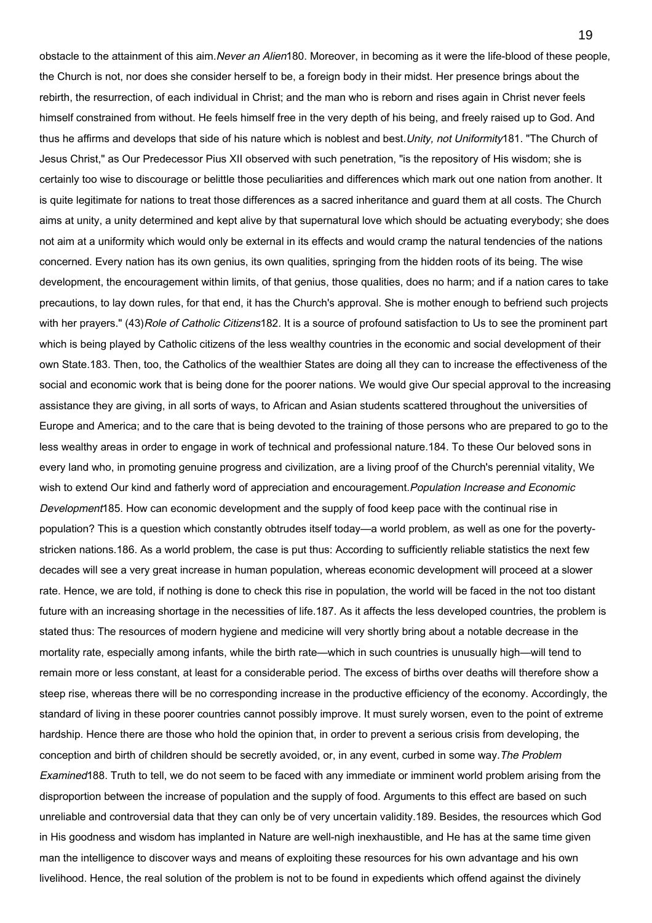obstacle to the attainment of this aim. Never an Alien180. Moreover, in becoming as it were the life-blood of these people, the Church is not, nor does she consider herself to be, a foreign body in their midst. Her presence brings about the rebirth, the resurrection, of each individual in Christ; and the man who is reborn and rises again in Christ never feels himself constrained from without. He feels himself free in the very depth of his being, and freely raised up to God. And thus he affirms and develops that side of his nature which is noblest and best. Unity, not Uniformity181. "The Church of Jesus Christ," as Our Predecessor Pius XII observed with such penetration, "is the repository of His wisdom; she is certainly too wise to discourage or belittle those peculiarities and differences which mark out one nation from another. It is quite legitimate for nations to treat those differences as a sacred inheritance and guard them at all costs. The Church aims at unity, a unity determined and kept alive by that supernatural love which should be actuating everybody; she does not aim at a uniformity which would only be external in its effects and would cramp the natural tendencies of the nations concerned. Every nation has its own genius, its own qualities, springing from the hidden roots of its being. The wise development, the encouragement within limits, of that genius, those qualities, does no harm; and if a nation cares to take precautions, to lay down rules, for that end, it has the Church's approval. She is mother enough to befriend such projects with her prayers." (43) Role of Catholic Citizens182. It is a source of profound satisfaction to Us to see the prominent part which is being played by Catholic citizens of the less wealthy countries in the economic and social development of their own State.183. Then, too, the Catholics of the wealthier States are doing all they can to increase the effectiveness of the social and economic work that is being done for the poorer nations. We would give Our special approval to the increasing assistance they are giving, in all sorts of ways, to African and Asian students scattered throughout the universities of Europe and America; and to the care that is being devoted to the training of those persons who are prepared to go to the less wealthy areas in order to engage in work of technical and professional nature.184. To these Our beloved sons in every land who, in promoting genuine progress and civilization, are a living proof of the Church's perennial vitality, We wish to extend Our kind and fatherly word of appreciation and encouragement. Population Increase and Economic Development185. How can economic development and the supply of food keep pace with the continual rise in population? This is a question which constantly obtrudes itself today—a world problem, as well as one for the povertystricken nations.186. As a world problem, the case is put thus: According to sufficiently reliable statistics the next few decades will see a very great increase in human population, whereas economic development will proceed at a slower rate. Hence, we are told, if nothing is done to check this rise in population, the world will be faced in the not too distant future with an increasing shortage in the necessities of life.187. As it affects the less developed countries, the problem is stated thus: The resources of modern hygiene and medicine will very shortly bring about a notable decrease in the mortality rate, especially among infants, while the birth rate—which in such countries is unusually high—will tend to remain more or less constant, at least for a considerable period. The excess of births over deaths will therefore show a steep rise, whereas there will be no corresponding increase in the productive efficiency of the economy. Accordingly, the standard of living in these poorer countries cannot possibly improve. It must surely worsen, even to the point of extreme hardship. Hence there are those who hold the opinion that, in order to prevent a serious crisis from developing, the conception and birth of children should be secretly avoided, or, in any event, curbed in some way.The Problem Examined188. Truth to tell, we do not seem to be faced with any immediate or imminent world problem arising from the disproportion between the increase of population and the supply of food. Arguments to this effect are based on such unreliable and controversial data that they can only be of very uncertain validity.189. Besides, the resources which God in His goodness and wisdom has implanted in Nature are well-nigh inexhaustible, and He has at the same time given man the intelligence to discover ways and means of exploiting these resources for his own advantage and his own livelihood. Hence, the real solution of the problem is not to be found in expedients which offend against the divinely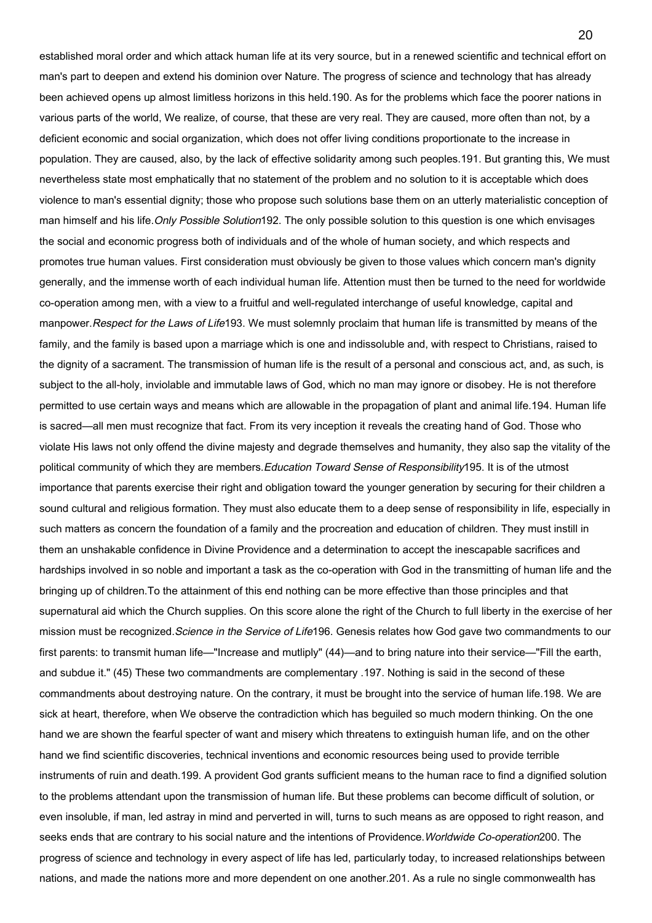established moral order and which attack human life at its very source, but in a renewed scientific and technical effort on man's part to deepen and extend his dominion over Nature. The progress of science and technology that has already been achieved opens up almost limitless horizons in this held.190. As for the problems which face the poorer nations in various parts of the world, We realize, of course, that these are very real. They are caused, more often than not, by a deficient economic and social organization, which does not offer living conditions proportionate to the increase in population. They are caused, also, by the lack of effective solidarity among such peoples.191. But granting this, We must nevertheless state most emphatically that no statement of the problem and no solution to it is acceptable which does violence to man's essential dignity; those who propose such solutions base them on an utterly materialistic conception of man himself and his life. Only Possible Solution192. The only possible solution to this question is one which envisages the social and economic progress both of individuals and of the whole of human society, and which respects and promotes true human values. First consideration must obviously be given to those values which concern man's dignity generally, and the immense worth of each individual human life. Attention must then be turned to the need for worldwide co-operation among men, with a view to a fruitful and well-regulated interchange of useful knowledge, capital and manpower. Respect for the Laws of Life193. We must solemnly proclaim that human life is transmitted by means of the family, and the family is based upon a marriage which is one and indissoluble and, with respect to Christians, raised to the dignity of a sacrament. The transmission of human life is the result of a personal and conscious act, and, as such, is subject to the all-holy, inviolable and immutable laws of God, which no man may ignore or disobey. He is not therefore permitted to use certain ways and means which are allowable in the propagation of plant and animal life.194. Human life is sacred—all men must recognize that fact. From its very inception it reveals the creating hand of God. Those who violate His laws not only offend the divine majesty and degrade themselves and humanity, they also sap the vitality of the political community of which they are members. Education Toward Sense of Responsibility195. It is of the utmost importance that parents exercise their right and obligation toward the younger generation by securing for their children a sound cultural and religious formation. They must also educate them to a deep sense of responsibility in life, especially in such matters as concern the foundation of a family and the procreation and education of children. They must instill in them an unshakable confidence in Divine Providence and a determination to accept the inescapable sacrifices and hardships involved in so noble and important a task as the co-operation with God in the transmitting of human life and the bringing up of children.To the attainment of this end nothing can be more effective than those principles and that supernatural aid which the Church supplies. On this score alone the right of the Church to full liberty in the exercise of her mission must be recognized. Science in the Service of Life196. Genesis relates how God gave two commandments to our first parents: to transmit human life—"Increase and mutliply" (44)—and to bring nature into their service—"Fill the earth, and subdue it." (45) These two commandments are complementary .197. Nothing is said in the second of these commandments about destroying nature. On the contrary, it must be brought into the service of human life.198. We are sick at heart, therefore, when We observe the contradiction which has beguiled so much modern thinking. On the one hand we are shown the fearful specter of want and misery which threatens to extinguish human life, and on the other hand we find scientific discoveries, technical inventions and economic resources being used to provide terrible instruments of ruin and death.199. A provident God grants sufficient means to the human race to find a dignified solution to the problems attendant upon the transmission of human life. But these problems can become difficult of solution, or even insoluble, if man, led astray in mind and perverted in will, turns to such means as are opposed to right reason, and seeks ends that are contrary to his social nature and the intentions of Providence. Worldwide Co-operation200. The progress of science and technology in every aspect of life has led, particularly today, to increased relationships between nations, and made the nations more and more dependent on one another.201. As a rule no single commonwealth has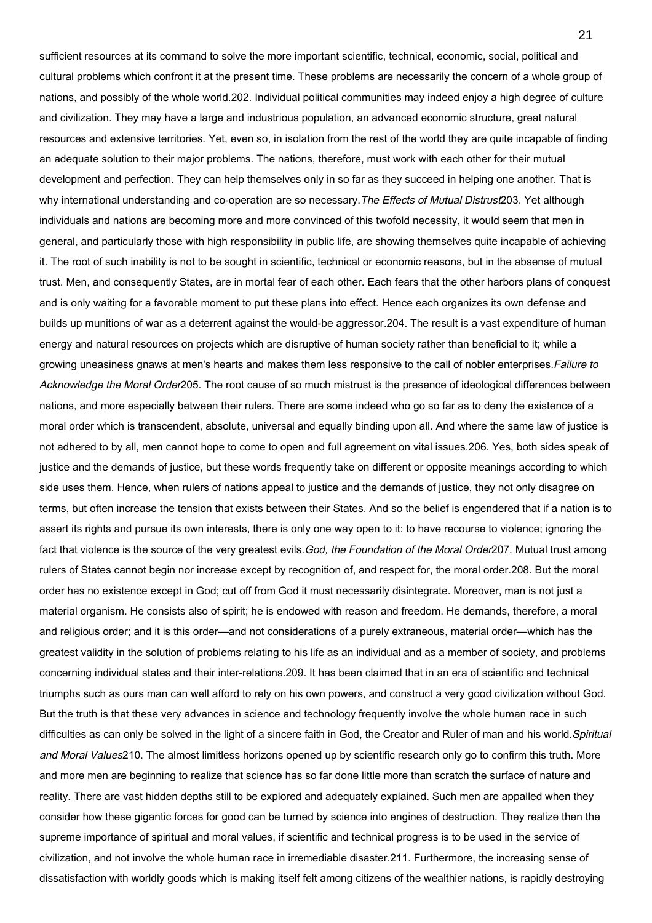sufficient resources at its command to solve the more important scientific, technical, economic, social, political and cultural problems which confront it at the present time. These problems are necessarily the concern of a whole group of nations, and possibly of the whole world.202. Individual political communities may indeed enjoy a high degree of culture and civilization. They may have a large and industrious population, an advanced economic structure, great natural resources and extensive territories. Yet, even so, in isolation from the rest of the world they are quite incapable of finding an adequate solution to their major problems. The nations, therefore, must work with each other for their mutual development and perfection. They can help themselves only in so far as they succeed in helping one another. That is why international understanding and co-operation are so necessary. The Effects of Mutual Distrust203. Yet although individuals and nations are becoming more and more convinced of this twofold necessity, it would seem that men in general, and particularly those with high responsibility in public life, are showing themselves quite incapable of achieving it. The root of such inability is not to be sought in scientific, technical or economic reasons, but in the absense of mutual trust. Men, and consequently States, are in mortal fear of each other. Each fears that the other harbors plans of conquest and is only waiting for a favorable moment to put these plans into effect. Hence each organizes its own defense and builds up munitions of war as a deterrent against the would-be aggressor.204. The result is a vast expenditure of human energy and natural resources on projects which are disruptive of human society rather than beneficial to it; while a growing uneasiness gnaws at men's hearts and makes them less responsive to the call of nobler enterprises. Failure to Acknowledge the Moral Order205. The root cause of so much mistrust is the presence of ideological differences between nations, and more especially between their rulers. There are some indeed who go so far as to deny the existence of a moral order which is transcendent, absolute, universal and equally binding upon all. And where the same law of justice is not adhered to by all, men cannot hope to come to open and full agreement on vital issues.206. Yes, both sides speak of justice and the demands of justice, but these words frequently take on different or opposite meanings according to which side uses them. Hence, when rulers of nations appeal to justice and the demands of justice, they not only disagree on terms, but often increase the tension that exists between their States. And so the belief is engendered that if a nation is to assert its rights and pursue its own interests, there is only one way open to it: to have recourse to violence; ignoring the fact that violence is the source of the very greatest evils. God, the Foundation of the Moral Order207. Mutual trust among rulers of States cannot begin nor increase except by recognition of, and respect for, the moral order.208. But the moral order has no existence except in God; cut off from God it must necessarily disintegrate. Moreover, man is not just a material organism. He consists also of spirit; he is endowed with reason and freedom. He demands, therefore, a moral and religious order; and it is this order—and not considerations of a purely extraneous, material order—which has the greatest validity in the solution of problems relating to his life as an individual and as a member of society, and problems concerning individual states and their inter-relations.209. It has been claimed that in an era of scientific and technical triumphs such as ours man can well afford to rely on his own powers, and construct a very good civilization without God. But the truth is that these very advances in science and technology frequently involve the whole human race in such difficulties as can only be solved in the light of a sincere faith in God, the Creator and Ruler of man and his world. Spiritual and Moral Values210. The almost limitless horizons opened up by scientific research only go to confirm this truth. More and more men are beginning to realize that science has so far done little more than scratch the surface of nature and reality. There are vast hidden depths still to be explored and adequately explained. Such men are appalled when they consider how these gigantic forces for good can be turned by science into engines of destruction. They realize then the supreme importance of spiritual and moral values, if scientific and technical progress is to be used in the service of civilization, and not involve the whole human race in irremediable disaster.211. Furthermore, the increasing sense of dissatisfaction with worldly goods which is making itself felt among citizens of the wealthier nations, is rapidly destroying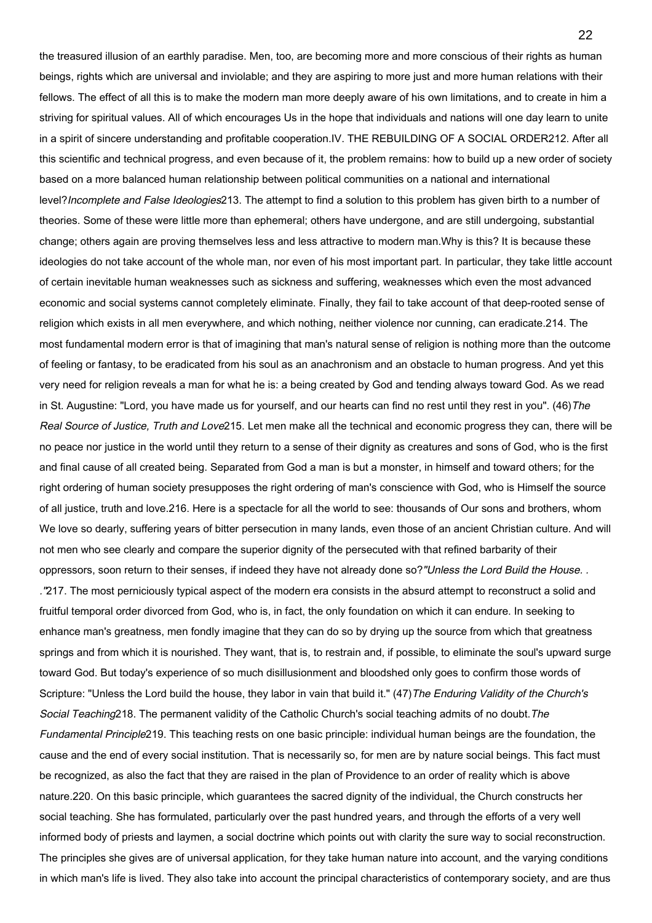the treasured illusion of an earthly paradise. Men, too, are becoming more and more conscious of their rights as human beings, rights which are universal and inviolable; and they are aspiring to more just and more human relations with their fellows. The effect of all this is to make the modern man more deeply aware of his own limitations, and to create in him a striving for spiritual values. All of which encourages Us in the hope that individuals and nations will one day learn to unite in a spirit of sincere understanding and profitable cooperation.IV. THE REBUILDING OF A SOCIAL ORDER212. After all this scientific and technical progress, and even because of it, the problem remains: how to build up a new order of society based on a more balanced human relationship between political communities on a national and international level?Incomplete and False Ideologies213. The attempt to find a solution to this problem has given birth to a number of theories. Some of these were little more than ephemeral; others have undergone, and are still undergoing, substantial change; others again are proving themselves less and less attractive to modern man.Why is this? It is because these ideologies do not take account of the whole man, nor even of his most important part. In particular, they take little account of certain inevitable human weaknesses such as sickness and suffering, weaknesses which even the most advanced economic and social systems cannot completely eliminate. Finally, they fail to take account of that deep-rooted sense of religion which exists in all men everywhere, and which nothing, neither violence nor cunning, can eradicate.214. The most fundamental modern error is that of imagining that man's natural sense of religion is nothing more than the outcome of feeling or fantasy, to be eradicated from his soul as an anachronism and an obstacle to human progress. And yet this very need for religion reveals a man for what he is: a being created by God and tending always toward God. As we read in St. Augustine: "Lord, you have made us for yourself, and our hearts can find no rest until they rest in you". (46)The Real Source of Justice, Truth and Love215. Let men make all the technical and economic progress they can, there will be no peace nor justice in the world until they return to a sense of their dignity as creatures and sons of God, who is the first and final cause of all created being. Separated from God a man is but a monster, in himself and toward others; for the right ordering of human society presupposes the right ordering of man's conscience with God, who is Himself the source of all justice, truth and love.216. Here is a spectacle for all the world to see: thousands of Our sons and brothers, whom We love so dearly, suffering years of bitter persecution in many lands, even those of an ancient Christian culture. And will not men who see clearly and compare the superior dignity of the persecuted with that refined barbarity of their oppressors, soon return to their senses, if indeed they have not already done so?"Unless the Lord Build the House... ."217. The most perniciously typical aspect of the modern era consists in the absurd attempt to reconstruct a solid and fruitful temporal order divorced from God, who is, in fact, the only foundation on which it can endure. In seeking to enhance man's greatness, men fondly imagine that they can do so by drying up the source from which that greatness springs and from which it is nourished. They want, that is, to restrain and, if possible, to eliminate the soul's upward surge toward God. But today's experience of so much disillusionment and bloodshed only goes to confirm those words of Scripture: "Unless the Lord build the house, they labor in vain that build it." (47) The Enduring Validity of the Church's Social Teaching 218. The permanent validity of the Catholic Church's social teaching admits of no doubt. The Fundamental Principle219. This teaching rests on one basic principle: individual human beings are the foundation, the cause and the end of every social institution. That is necessarily so, for men are by nature social beings. This fact must be recognized, as also the fact that they are raised in the plan of Providence to an order of reality which is above nature.220. On this basic principle, which guarantees the sacred dignity of the individual, the Church constructs her social teaching. She has formulated, particularly over the past hundred years, and through the efforts of a very well informed body of priests and laymen, a social doctrine which points out with clarity the sure way to social reconstruction. The principles she gives are of universal application, for they take human nature into account, and the varying conditions in which man's life is lived. They also take into account the principal characteristics of contemporary society, and are thus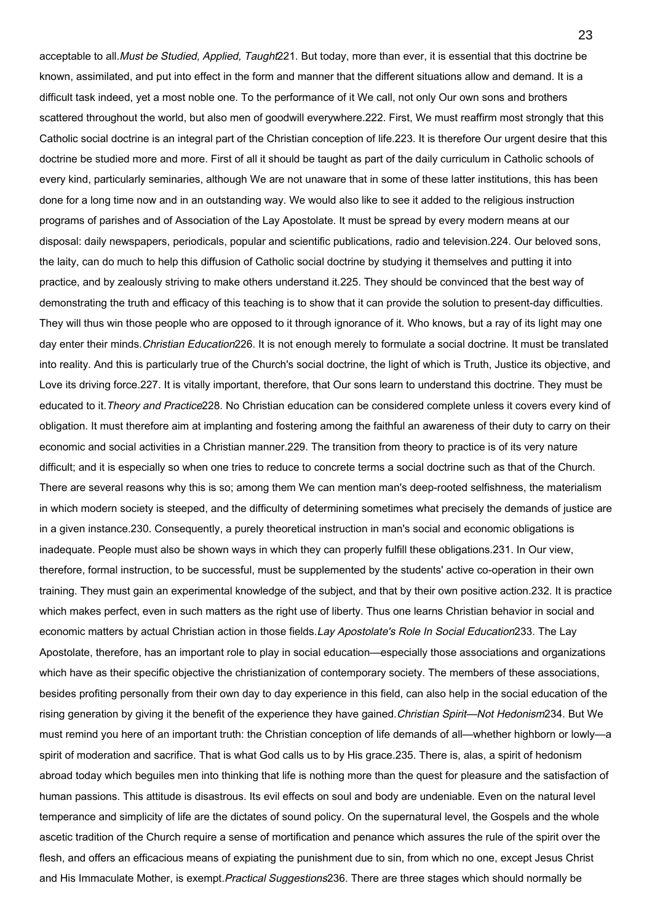acceptable to all. Must be Studied, Applied, Taught221. But today, more than ever, it is essential that this doctrine be known, assimilated, and put into effect in the form and manner that the different situations allow and demand. It is a difficult task indeed, yet a most noble one. To the performance of it We call, not only Our own sons and brothers scattered throughout the world, but also men of goodwill everywhere.222. First, We must reaffirm most strongly that this Catholic social doctrine is an integral part of the Christian conception of life.223. It is therefore Our urgent desire that this doctrine be studied more and more. First of all it should be taught as part of the daily curriculum in Catholic schools of every kind, particularly seminaries, although We are not unaware that in some of these latter institutions, this has been done for a long time now and in an outstanding way. We would also like to see it added to the religious instruction programs of parishes and of Association of the Lay Apostolate. It must be spread by every modern means at our disposal: daily newspapers, periodicals, popular and scientific publications, radio and television.224. Our beloved sons, the laity, can do much to help this diffusion of Catholic social doctrine by studying it themselves and putting it into practice, and by zealously striving to make others understand it.225. They should be convinced that the best way of demonstrating the truth and efficacy of this teaching is to show that it can provide the solution to present-day difficulties. They will thus win those people who are opposed to it through ignorance of it. Who knows, but a ray of its light may one day enter their minds.Christian Education226. It is not enough merely to formulate a social doctrine. It must be translated into reality. And this is particularly true of the Church's social doctrine, the light of which is Truth, Justice its objective, and Love its driving force.227. It is vitally important, therefore, that Our sons learn to understand this doctrine. They must be educated to it. Theory and Practice228. No Christian education can be considered complete unless it covers every kind of obligation. It must therefore aim at implanting and fostering among the faithful an awareness of their duty to carry on their economic and social activities in a Christian manner.229. The transition from theory to practice is of its very nature difficult; and it is especially so when one tries to reduce to concrete terms a social doctrine such as that of the Church. There are several reasons why this is so; among them We can mention man's deep-rooted selfishness, the materialism in which modern society is steeped, and the difficulty of determining sometimes what precisely the demands of justice are in a given instance.230. Consequently, a purely theoretical instruction in man's social and economic obligations is inadequate. People must also be shown ways in which they can properly fulfill these obligations.231. In Our view, therefore, formal instruction, to be successful, must be supplemented by the students' active co-operation in their own training. They must gain an experimental knowledge of the subject, and that by their own positive action.232. It is practice which makes perfect, even in such matters as the right use of liberty. Thus one learns Christian behavior in social and economic matters by actual Christian action in those fields. Lay Apostolate's Role In Social Education233. The Lay Apostolate, therefore, has an important role to play in social education—especially those associations and organizations which have as their specific objective the christianization of contemporary society. The members of these associations, besides profiting personally from their own day to day experience in this field, can also help in the social education of the rising generation by giving it the benefit of the experience they have gained. Christian Spirit—Not Hedonism234. But We must remind you here of an important truth: the Christian conception of life demands of all—whether highborn or lowly—a spirit of moderation and sacrifice. That is what God calls us to by His grace.235. There is, alas, a spirit of hedonism abroad today which beguiles men into thinking that life is nothing more than the quest for pleasure and the satisfaction of human passions. This attitude is disastrous. Its evil effects on soul and body are undeniable. Even on the natural level temperance and simplicity of life are the dictates of sound policy. On the supernatural level, the Gospels and the whole ascetic tradition of the Church require a sense of mortification and penance which assures the rule of the spirit over the flesh, and offers an efficacious means of expiating the punishment due to sin, from which no one, except Jesus Christ and His Immaculate Mother, is exempt. Practical Suggestions236. There are three stages which should normally be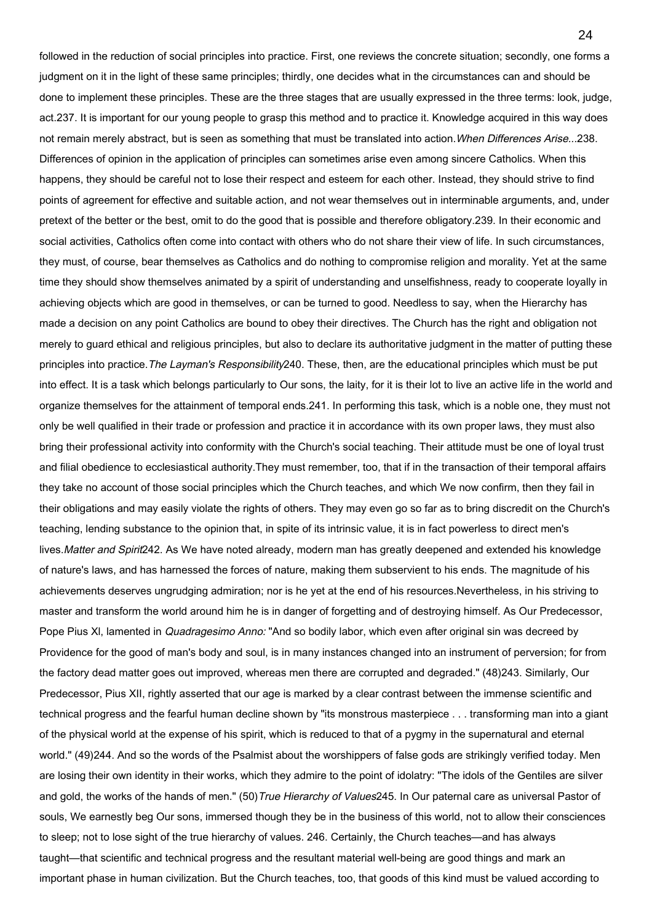followed in the reduction of social principles into practice. First, one reviews the concrete situation; secondly, one forms a judgment on it in the light of these same principles; thirdly, one decides what in the circumstances can and should be done to implement these principles. These are the three stages that are usually expressed in the three terms: look, judge, act.237. It is important for our young people to grasp this method and to practice it. Knowledge acquired in this way does not remain merely abstract, but is seen as something that must be translated into action. When Differences Arise...238. Differences of opinion in the application of principles can sometimes arise even among sincere Catholics. When this happens, they should be careful not to lose their respect and esteem for each other. Instead, they should strive to find points of agreement for effective and suitable action, and not wear themselves out in interminable arguments, and, under pretext of the better or the best, omit to do the good that is possible and therefore obligatory.239. In their economic and social activities, Catholics often come into contact with others who do not share their view of life. In such circumstances, they must, of course, bear themselves as Catholics and do nothing to compromise religion and morality. Yet at the same time they should show themselves animated by a spirit of understanding and unselfishness, ready to cooperate loyally in achieving objects which are good in themselves, or can be turned to good. Needless to say, when the Hierarchy has made a decision on any point Catholics are bound to obey their directives. The Church has the right and obligation not merely to guard ethical and religious principles, but also to declare its authoritative judgment in the matter of putting these principles into practice. The Layman's Responsibility240. These, then, are the educational principles which must be put into effect. It is a task which belongs particularly to Our sons, the laity, for it is their lot to live an active life in the world and organize themselves for the attainment of temporal ends.241. In performing this task, which is a noble one, they must not only be well qualified in their trade or profession and practice it in accordance with its own proper laws, they must also bring their professional activity into conformity with the Church's social teaching. Their attitude must be one of loyal trust and filial obedience to ecclesiastical authority.They must remember, too, that if in the transaction of their temporal affairs they take no account of those social principles which the Church teaches, and which We now confirm, then they fail in their obligations and may easily violate the rights of others. They may even go so far as to bring discredit on the Church's teaching, lending substance to the opinion that, in spite of its intrinsic value, it is in fact powerless to direct men's lives. Matter and Spirit242. As We have noted already, modern man has greatly deepened and extended his knowledge of nature's laws, and has harnessed the forces of nature, making them subservient to his ends. The magnitude of his achievements deserves ungrudging admiration; nor is he yet at the end of his resources.Nevertheless, in his striving to master and transform the world around him he is in danger of forgetting and of destroying himself. As Our Predecessor, Pope Pius XI, lamented in *Quadragesimo Anno:* "And so bodily labor, which even after original sin was decreed by Providence for the good of man's body and soul, is in many instances changed into an instrument of perversion; for from the factory dead matter goes out improved, whereas men there are corrupted and degraded." (48)243. Similarly, Our Predecessor, Pius XII, rightly asserted that our age is marked by a clear contrast between the immense scientific and technical progress and the fearful human decline shown by "its monstrous masterpiece . . . transforming man into a giant of the physical world at the expense of his spirit, which is reduced to that of a pygmy in the supernatural and eternal world." (49)244. And so the words of the Psalmist about the worshippers of false gods are strikingly verified today. Men are losing their own identity in their works, which they admire to the point of idolatry: "The idols of the Gentiles are silver and gold, the works of the hands of men." (50) True Hierarchy of Values245. In Our paternal care as universal Pastor of souls, We earnestly beg Our sons, immersed though they be in the business of this world, not to allow their consciences to sleep; not to lose sight of the true hierarchy of values. 246. Certainly, the Church teaches—and has always taught—that scientific and technical progress and the resultant material well-being are good things and mark an important phase in human civilization. But the Church teaches, too, that goods of this kind must be valued according to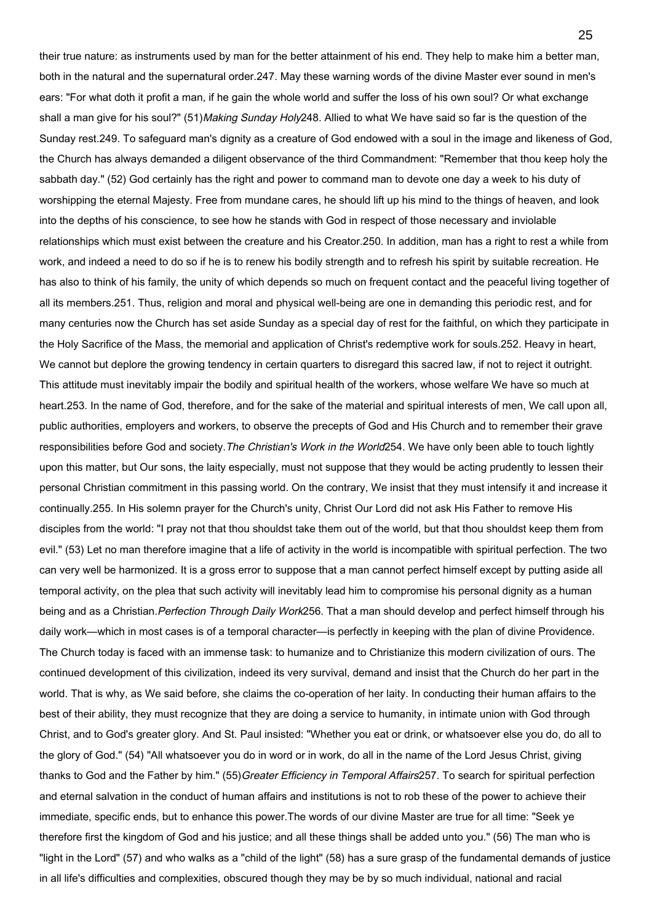their true nature: as instruments used by man for the better attainment of his end. They help to make him a better man, both in the natural and the supernatural order.247. May these warning words of the divine Master ever sound in men's ears: "For what doth it profit a man, if he gain the whole world and suffer the loss of his own soul? Or what exchange shall a man give for his soul?" (51)Making Sunday Holy248. Allied to what We have said so far is the question of the Sunday rest.249. To safeguard man's dignity as a creature of God endowed with a soul in the image and likeness of God, the Church has always demanded a diligent observance of the third Commandment: "Remember that thou keep holy the sabbath day." (52) God certainly has the right and power to command man to devote one day a week to his duty of worshipping the eternal Majesty. Free from mundane cares, he should lift up his mind to the things of heaven, and look into the depths of his conscience, to see how he stands with God in respect of those necessary and inviolable relationships which must exist between the creature and his Creator.250. In addition, man has a right to rest a while from work, and indeed a need to do so if he is to renew his bodily strength and to refresh his spirit by suitable recreation. He has also to think of his family, the unity of which depends so much on frequent contact and the peaceful living together of all its members.251. Thus, religion and moral and physical well-being are one in demanding this periodic rest, and for many centuries now the Church has set aside Sunday as a special day of rest for the faithful, on which they participate in the Holy Sacrifice of the Mass, the memorial and application of Christ's redemptive work for souls.252. Heavy in heart, We cannot but deplore the growing tendency in certain quarters to disregard this sacred law, if not to reject it outright. This attitude must inevitably impair the bodily and spiritual health of the workers, whose welfare We have so much at heart.253. In the name of God, therefore, and for the sake of the material and spiritual interests of men, We call upon all, public authorities, employers and workers, to observe the precepts of God and His Church and to remember their grave responsibilities before God and society. The Christian's Work in the World254. We have only been able to touch lightly upon this matter, but Our sons, the laity especially, must not suppose that they would be acting prudently to lessen their personal Christian commitment in this passing world. On the contrary, We insist that they must intensify it and increase it continually.255. In His solemn prayer for the Church's unity, Christ Our Lord did not ask His Father to remove His disciples from the world: "I pray not that thou shouldst take them out of the world, but that thou shouldst keep them from evil." (53) Let no man therefore imagine that a life of activity in the world is incompatible with spiritual perfection. The two can very well be harmonized. It is a gross error to suppose that a man cannot perfect himself except by putting aside all temporal activity, on the plea that such activity will inevitably lead him to compromise his personal dignity as a human being and as a Christian. Perfection Through Daily Work256. That a man should develop and perfect himself through his daily work—which in most cases is of a temporal character—is perfectly in keeping with the plan of divine Providence. The Church today is faced with an immense task: to humanize and to Christianize this modern civilization of ours. The continued development of this civilization, indeed its very survival, demand and insist that the Church do her part in the world. That is why, as We said before, she claims the co-operation of her laity. In conducting their human affairs to the best of their ability, they must recognize that they are doing a service to humanity, in intimate union with God through Christ, and to God's greater glory. And St. Paul insisted: "Whether you eat or drink, or whatsoever else you do, do all to the glory of God." (54) "All whatsoever you do in word or in work, do all in the name of the Lord Jesus Christ, giving thanks to God and the Father by him." (55) Greater Efficiency in Temporal Affairs 257. To search for spiritual perfection and eternal salvation in the conduct of human affairs and institutions is not to rob these of the power to achieve their immediate, specific ends, but to enhance this power.The words of our divine Master are true for all time: "Seek ye therefore first the kingdom of God and his justice; and all these things shall be added unto you." (56) The man who is "light in the Lord" (57) and who walks as a "child of the light" (58) has a sure grasp of the fundamental demands of justice in all life's difficulties and complexities, obscured though they may be by so much individual, national and racial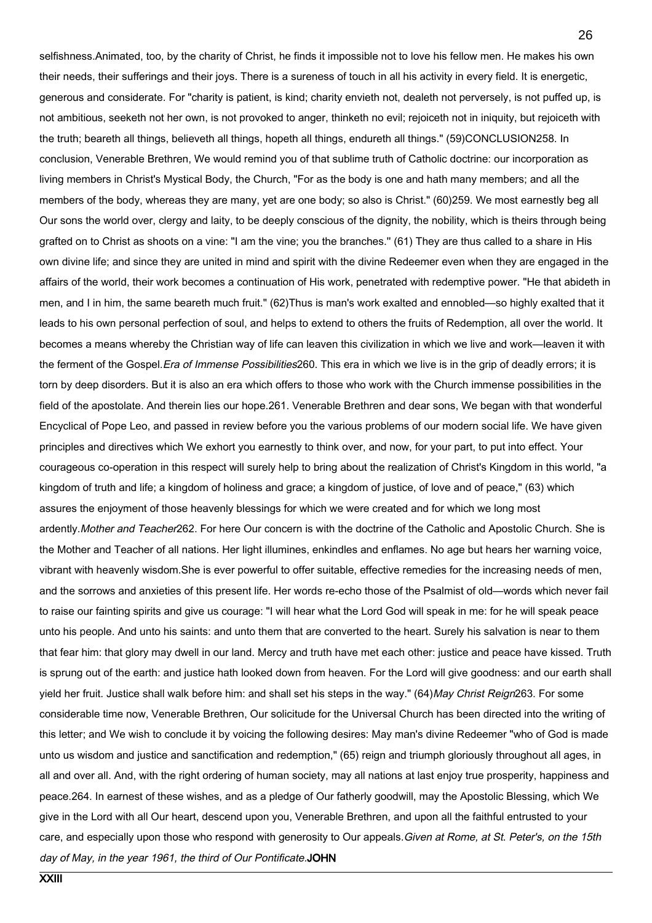selfishness.Animated, too, by the charity of Christ, he finds it impossible not to love his fellow men. He makes his own their needs, their sufferings and their joys. There is a sureness of touch in all his activity in every field. It is energetic, generous and considerate. For "charity is patient, is kind; charity envieth not, dealeth not perversely, is not puffed up, is not ambitious, seeketh not her own, is not provoked to anger, thinketh no evil; rejoiceth not in iniquity, but rejoiceth with the truth; beareth all things, believeth all things, hopeth all things, endureth all things." (59)CONCLUSION258. In conclusion, Venerable Brethren, We would remind you of that sublime truth of Catholic doctrine: our incorporation as living members in Christ's Mystical Body, the Church, "For as the body is one and hath many members; and all the members of the body, whereas they are many, yet are one body; so also is Christ." (60)259. We most earnestly beg all Our sons the world over, clergy and laity, to be deeply conscious of the dignity, the nobility, which is theirs through being grafted on to Christ as shoots on a vine: "I am the vine; you the branches.'' (61) They are thus called to a share in His own divine life; and since they are united in mind and spirit with the divine Redeemer even when they are engaged in the affairs of the world, their work becomes a continuation of His work, penetrated with redemptive power. "He that abideth in men, and I in him, the same beareth much fruit." (62)Thus is man's work exalted and ennobled—so highly exalted that it leads to his own personal perfection of soul, and helps to extend to others the fruits of Redemption, all over the world. It becomes a means whereby the Christian way of life can leaven this civilization in which we live and work—leaven it with the ferment of the Gospel. Era of Immense Possibilities 260. This era in which we live is in the grip of deadly errors; it is torn by deep disorders. But it is also an era which offers to those who work with the Church immense possibilities in the field of the apostolate. And therein lies our hope.261. Venerable Brethren and dear sons, We began with that wonderful Encyclical of Pope Leo, and passed in review before you the various problems of our modern social life. We have given principles and directives which We exhort you earnestly to think over, and now, for your part, to put into effect. Your courageous co-operation in this respect will surely help to bring about the realization of Christ's Kingdom in this world, "a kingdom of truth and life; a kingdom of holiness and grace; a kingdom of justice, of love and of peace," (63) which assures the enjoyment of those heavenly blessings for which we were created and for which we long most ardently. Mother and Teacher262. For here Our concern is with the doctrine of the Catholic and Apostolic Church. She is the Mother and Teacher of all nations. Her light illumines, enkindles and enflames. No age but hears her warning voice, vibrant with heavenly wisdom.She is ever powerful to offer suitable, effective remedies for the increasing needs of men, and the sorrows and anxieties of this present life. Her words re-echo those of the Psalmist of old—words which never fail to raise our fainting spirits and give us courage: "I will hear what the Lord God will speak in me: for he will speak peace unto his people. And unto his saints: and unto them that are converted to the heart. Surely his salvation is near to them that fear him: that glory may dwell in our land. Mercy and truth have met each other: justice and peace have kissed. Truth is sprung out of the earth: and justice hath looked down from heaven. For the Lord will give goodness: and our earth shall yield her fruit. Justice shall walk before him: and shall set his steps in the way." (64) May Christ Reign 263. For some considerable time now, Venerable Brethren, Our solicitude for the Universal Church has been directed into the writing of this letter; and We wish to conclude it by voicing the following desires: May man's divine Redeemer "who of God is made unto us wisdom and justice and sanctification and redemption," (65) reign and triumph gloriously throughout all ages, in all and over all. And, with the right ordering of human society, may all nations at last enjoy true prosperity, happiness and peace.264. In earnest of these wishes, and as a pledge of Our fatherly goodwill, may the Apostolic Blessing, which We give in the Lord with all Our heart, descend upon you, Venerable Brethren, and upon all the faithful entrusted to your care, and especially upon those who respond with generosity to Our appeals. Given at Rome, at St. Peter's, on the 15th day of May, in the year 1961, the third of Our Pontificate. JOHN